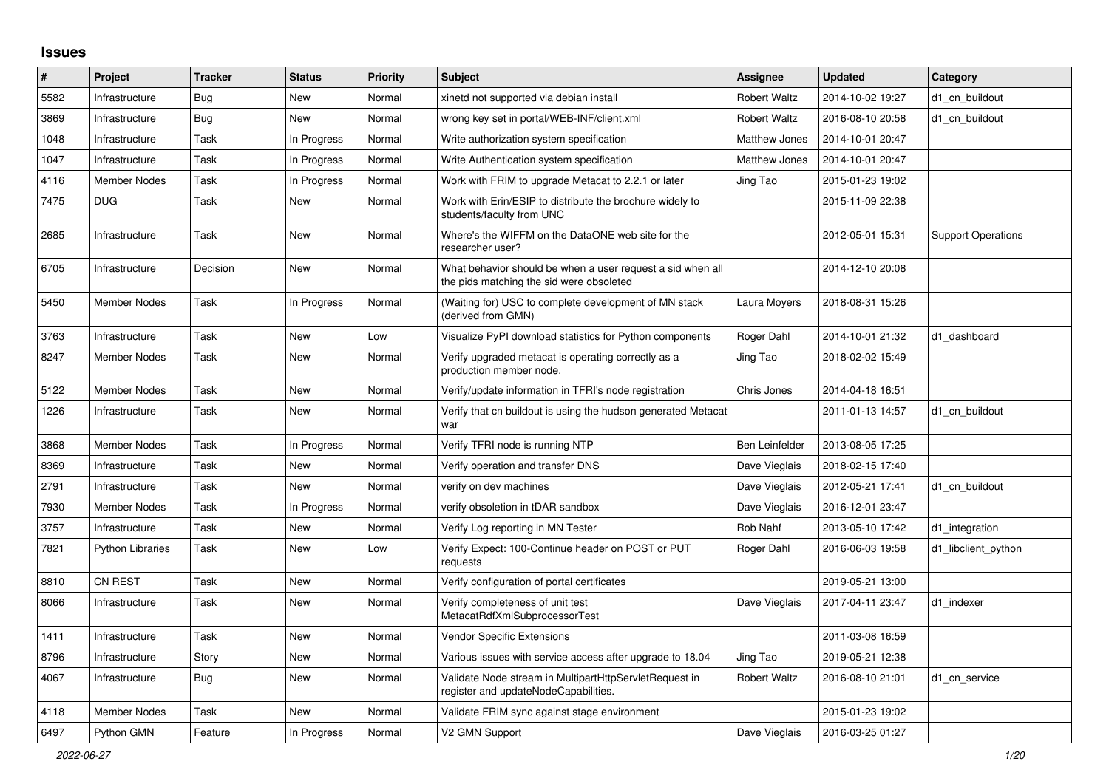## **Issues**

| #    | Project                 | <b>Tracker</b> | <b>Status</b> | <b>Priority</b> | <b>Subject</b>                                                                                         | Assignee             | <b>Updated</b>   | Category                  |
|------|-------------------------|----------------|---------------|-----------------|--------------------------------------------------------------------------------------------------------|----------------------|------------------|---------------------------|
| 5582 | Infrastructure          | <b>Bug</b>     | New           | Normal          | xinetd not supported via debian install                                                                | <b>Robert Waltz</b>  | 2014-10-02 19:27 | d1 cn buildout            |
| 3869 | Infrastructure          | <b>Bug</b>     | <b>New</b>    | Normal          | wrong key set in portal/WEB-INF/client.xml                                                             | <b>Robert Waltz</b>  | 2016-08-10 20:58 | d1 cn buildout            |
| 1048 | Infrastructure          | Task           | In Progress   | Normal          | Write authorization system specification                                                               | <b>Matthew Jones</b> | 2014-10-01 20:47 |                           |
| 1047 | Infrastructure          | Task           | In Progress   | Normal          | Write Authentication system specification                                                              | Matthew Jones        | 2014-10-01 20:47 |                           |
| 4116 | Member Nodes            | Task           | In Progress   | Normal          | Work with FRIM to upgrade Metacat to 2.2.1 or later                                                    | Jing Tao             | 2015-01-23 19:02 |                           |
| 7475 | <b>DUG</b>              | Task           | New           | Normal          | Work with Erin/ESIP to distribute the brochure widely to<br>students/faculty from UNC                  |                      | 2015-11-09 22:38 |                           |
| 2685 | Infrastructure          | Task           | New           | Normal          | Where's the WIFFM on the DataONE web site for the<br>researcher user?                                  |                      | 2012-05-01 15:31 | <b>Support Operations</b> |
| 6705 | Infrastructure          | Decision       | <b>New</b>    | Normal          | What behavior should be when a user request a sid when all<br>the pids matching the sid were obsoleted |                      | 2014-12-10 20:08 |                           |
| 5450 | Member Nodes            | Task           | In Progress   | Normal          | (Waiting for) USC to complete development of MN stack<br>(derived from GMN)                            | Laura Moyers         | 2018-08-31 15:26 |                           |
| 3763 | Infrastructure          | Task           | New           | Low             | Visualize PyPI download statistics for Python components                                               | Roger Dahl           | 2014-10-01 21:32 | d1 dashboard              |
| 8247 | Member Nodes            | Task           | New           | Normal          | Verify upgraded metacat is operating correctly as a<br>production member node.                         | Jing Tao             | 2018-02-02 15:49 |                           |
| 5122 | Member Nodes            | Task           | New           | Normal          | Verify/update information in TFRI's node registration                                                  | Chris Jones          | 2014-04-18 16:51 |                           |
| 1226 | Infrastructure          | Task           | New           | Normal          | Verify that cn buildout is using the hudson generated Metacat<br>war                                   |                      | 2011-01-13 14:57 | d1 cn buildout            |
| 3868 | Member Nodes            | Task           | In Progress   | Normal          | Verify TFRI node is running NTP                                                                        | Ben Leinfelder       | 2013-08-05 17:25 |                           |
| 8369 | Infrastructure          | Task           | New           | Normal          | Verify operation and transfer DNS                                                                      | Dave Vieglais        | 2018-02-15 17:40 |                           |
| 2791 | Infrastructure          | Task           | <b>New</b>    | Normal          | verify on dev machines                                                                                 | Dave Vieglais        | 2012-05-21 17:41 | d1_cn_buildout            |
| 7930 | <b>Member Nodes</b>     | Task           | In Progress   | Normal          | verify obsoletion in tDAR sandbox                                                                      | Dave Vieglais        | 2016-12-01 23:47 |                           |
| 3757 | Infrastructure          | Task           | New           | Normal          | Verify Log reporting in MN Tester                                                                      | Rob Nahf             | 2013-05-10 17:42 | d1 integration            |
| 7821 | <b>Python Libraries</b> | Task           | <b>New</b>    | Low             | Verify Expect: 100-Continue header on POST or PUT<br>requests                                          | Roger Dahl           | 2016-06-03 19:58 | d1_libclient_python       |
| 8810 | CN REST                 | Task           | New           | Normal          | Verify configuration of portal certificates                                                            |                      | 2019-05-21 13:00 |                           |
| 8066 | Infrastructure          | Task           | <b>New</b>    | Normal          | Verify completeness of unit test<br>MetacatRdfXmlSubprocessorTest                                      | Dave Vieglais        | 2017-04-11 23:47 | d1_indexer                |
| 1411 | Infrastructure          | Task           | New           | Normal          | Vendor Specific Extensions                                                                             |                      | 2011-03-08 16:59 |                           |
| 8796 | Infrastructure          | Story          | New           | Normal          | Various issues with service access after upgrade to 18.04                                              | Jing Tao             | 2019-05-21 12:38 |                           |
| 4067 | Infrastructure          | <b>Bug</b>     | New           | Normal          | Validate Node stream in MultipartHttpServletRequest in<br>register and updateNodeCapabilities.         | <b>Robert Waltz</b>  | 2016-08-10 21:01 | d1 cn service             |
| 4118 | <b>Member Nodes</b>     | Task           | New           | Normal          | Validate FRIM sync against stage environment                                                           |                      | 2015-01-23 19:02 |                           |
| 6497 | Python GMN              | Feature        | In Progress   | Normal          | V2 GMN Support                                                                                         | Dave Vieglais        | 2016-03-25 01:27 |                           |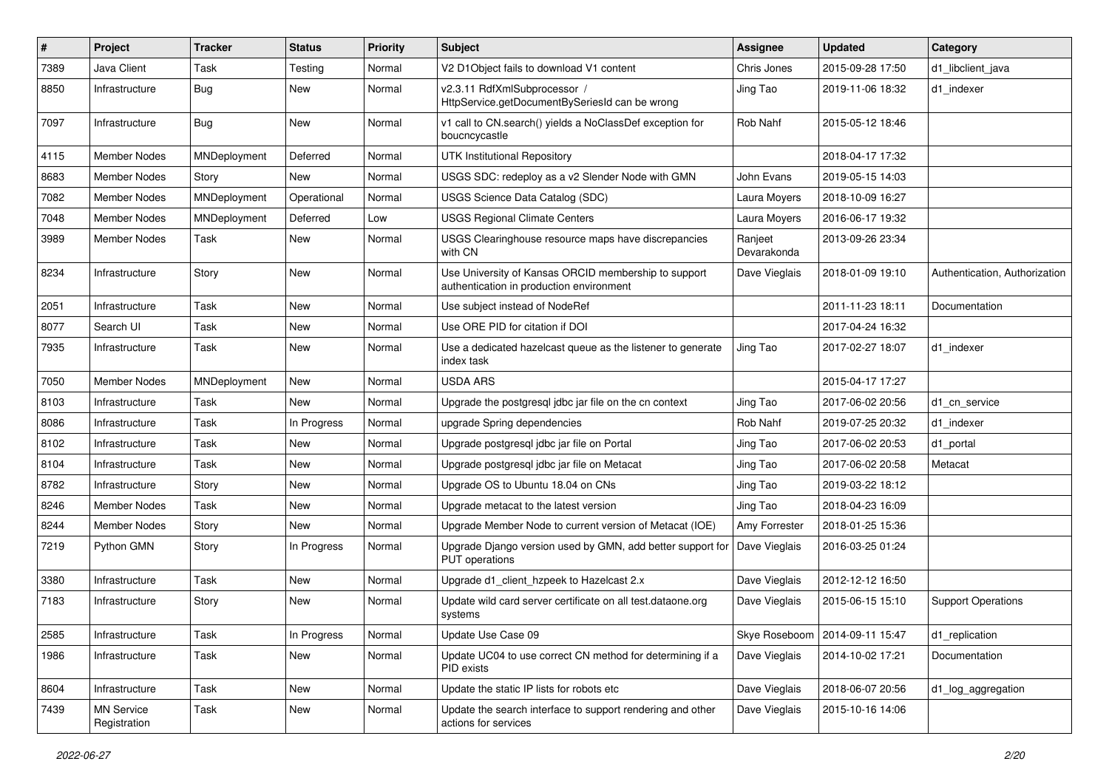| $\pmb{\#}$ | Project                           | <b>Tracker</b> | <b>Status</b> | <b>Priority</b> | <b>Subject</b>                                                                                   | <b>Assignee</b>        | <b>Updated</b>   | Category                      |
|------------|-----------------------------------|----------------|---------------|-----------------|--------------------------------------------------------------------------------------------------|------------------------|------------------|-------------------------------|
| 7389       | Java Client                       | Task           | Testing       | Normal          | V2 D1Object fails to download V1 content                                                         | Chris Jones            | 2015-09-28 17:50 | d1 libclient java             |
| 8850       | Infrastructure                    | <b>Bug</b>     | New           | Normal          | v2.3.11 RdfXmlSubprocessor /<br>HttpService.getDocumentBySeriesId can be wrong                   | Jing Tao               | 2019-11-06 18:32 | d1_indexer                    |
| 7097       | Infrastructure                    | Bug            | New           | Normal          | v1 call to CN.search() yields a NoClassDef exception for<br>boucncycastle                        | Rob Nahf               | 2015-05-12 18:46 |                               |
| 4115       | Member Nodes                      | MNDeployment   | Deferred      | Normal          | UTK Institutional Repository                                                                     |                        | 2018-04-17 17:32 |                               |
| 8683       | <b>Member Nodes</b>               | Story          | New           | Normal          | USGS SDC: redeploy as a v2 Slender Node with GMN                                                 | John Evans             | 2019-05-15 14:03 |                               |
| 7082       | Member Nodes                      | MNDeployment   | Operational   | Normal          | USGS Science Data Catalog (SDC)                                                                  | Laura Moyers           | 2018-10-09 16:27 |                               |
| 7048       | <b>Member Nodes</b>               | MNDeployment   | Deferred      | Low             | <b>USGS Regional Climate Centers</b>                                                             | Laura Moyers           | 2016-06-17 19:32 |                               |
| 3989       | Member Nodes                      | Task           | New           | Normal          | USGS Clearinghouse resource maps have discrepancies<br>with CN                                   | Ranjeet<br>Devarakonda | 2013-09-26 23:34 |                               |
| 8234       | Infrastructure                    | Story          | New           | Normal          | Use University of Kansas ORCID membership to support<br>authentication in production environment | Dave Vieglais          | 2018-01-09 19:10 | Authentication, Authorization |
| 2051       | Infrastructure                    | Task           | New           | Normal          | Use subject instead of NodeRef                                                                   |                        | 2011-11-23 18:11 | Documentation                 |
| 8077       | Search UI                         | Task           | New           | Normal          | Use ORE PID for citation if DOI                                                                  |                        | 2017-04-24 16:32 |                               |
| 7935       | Infrastructure                    | Task           | New           | Normal          | Use a dedicated hazelcast queue as the listener to generate<br>index task                        | Jing Tao               | 2017-02-27 18:07 | d1_indexer                    |
| 7050       | <b>Member Nodes</b>               | MNDeployment   | New           | Normal          | <b>USDA ARS</b>                                                                                  |                        | 2015-04-17 17:27 |                               |
| 8103       | Infrastructure                    | Task           | New           | Normal          | Upgrade the postgresql jdbc jar file on the cn context                                           | Jing Tao               | 2017-06-02 20:56 | d1_cn_service                 |
| 8086       | Infrastructure                    | Task           | In Progress   | Normal          | upgrade Spring dependencies                                                                      | Rob Nahf               | 2019-07-25 20:32 | d1_indexer                    |
| 8102       | Infrastructure                    | Task           | New           | Normal          | Upgrade postgresql jdbc jar file on Portal                                                       | Jing Tao               | 2017-06-02 20:53 | d1_portal                     |
| 8104       | Infrastructure                    | Task           | New           | Normal          | Upgrade postgresgl jdbc jar file on Metacat                                                      | Jing Tao               | 2017-06-02 20:58 | Metacat                       |
| 8782       | Infrastructure                    | Story          | New           | Normal          | Upgrade OS to Ubuntu 18.04 on CNs                                                                | Jing Tao               | 2019-03-22 18:12 |                               |
| 8246       | <b>Member Nodes</b>               | Task           | New           | Normal          | Upgrade metacat to the latest version                                                            | Jing Tao               | 2018-04-23 16:09 |                               |
| 8244       | Member Nodes                      | Story          | New           | Normal          | Upgrade Member Node to current version of Metacat (IOE)                                          | Amy Forrester          | 2018-01-25 15:36 |                               |
| 7219       | Python GMN                        | Story          | In Progress   | Normal          | Upgrade Django version used by GMN, add better support for<br><b>PUT</b> operations              | Dave Vieglais          | 2016-03-25 01:24 |                               |
| 3380       | Infrastructure                    | Task           | New           | Normal          | Upgrade d1_client_hzpeek to Hazelcast 2.x                                                        | Dave Vieglais          | 2012-12-12 16:50 |                               |
| 7183       | Infrastructure                    | Story          | New           | Normal          | Update wild card server certificate on all test.dataone.org<br>systems                           | Dave Vieglais          | 2015-06-15 15:10 | <b>Support Operations</b>     |
| 2585       | Infrastructure                    | Task           | In Progress   | Normal          | Update Use Case 09                                                                               | Skye Roseboom          | 2014-09-11 15:47 | d1_replication                |
| 1986       | Infrastructure                    | Task           | New           | Normal          | Update UC04 to use correct CN method for determining if a<br>PID exists                          | Dave Vieglais          | 2014-10-02 17:21 | Documentation                 |
| 8604       | Infrastructure                    | Task           | New           | Normal          | Update the static IP lists for robots etc                                                        | Dave Vieglais          | 2018-06-07 20:56 | d1_log_aggregation            |
| 7439       | <b>MN Service</b><br>Registration | Task           | New           | Normal          | Update the search interface to support rendering and other<br>actions for services               | Dave Vieglais          | 2015-10-16 14:06 |                               |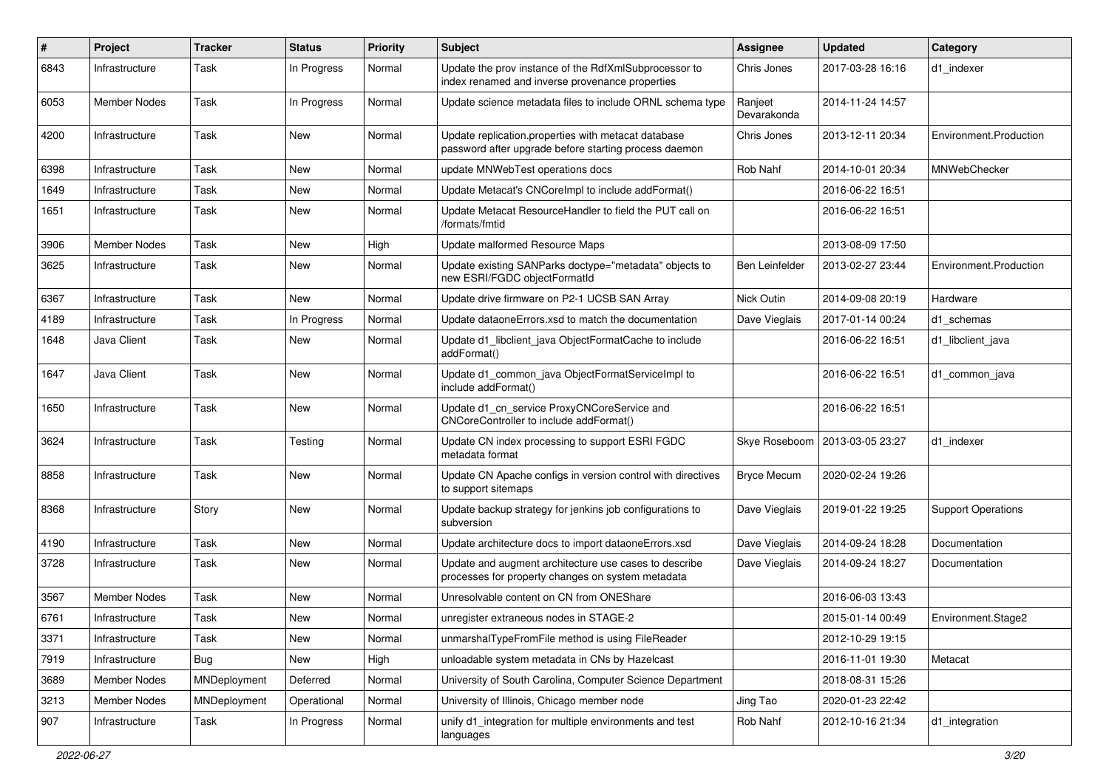| $\pmb{\#}$ | Project             | <b>Tracker</b> | <b>Status</b> | <b>Priority</b> | <b>Subject</b>                                                                                               | <b>Assignee</b>        | <b>Updated</b>   | Category                  |
|------------|---------------------|----------------|---------------|-----------------|--------------------------------------------------------------------------------------------------------------|------------------------|------------------|---------------------------|
| 6843       | Infrastructure      | Task           | In Progress   | Normal          | Update the prov instance of the RdfXmlSubprocessor to<br>index renamed and inverse provenance properties     | Chris Jones            | 2017-03-28 16:16 | d1 indexer                |
| 6053       | Member Nodes        | Task           | In Progress   | Normal          | Update science metadata files to include ORNL schema type                                                    | Ranjeet<br>Devarakonda | 2014-11-24 14:57 |                           |
| 4200       | Infrastructure      | Task           | <b>New</b>    | Normal          | Update replication.properties with metacat database<br>password after upgrade before starting process daemon | Chris Jones            | 2013-12-11 20:34 | Environment.Production    |
| 6398       | Infrastructure      | Task           | New           | Normal          | update MNWebTest operations docs                                                                             | Rob Nahf               | 2014-10-01 20:34 | MNWebChecker              |
| 1649       | Infrastructure      | Task           | New           | Normal          | Update Metacat's CNCorelmpl to include addFormat()                                                           |                        | 2016-06-22 16:51 |                           |
| 1651       | Infrastructure      | Task           | New           | Normal          | Update Metacat ResourceHandler to field the PUT call on<br>/formats/fmtid                                    |                        | 2016-06-22 16:51 |                           |
| 3906       | Member Nodes        | Task           | New           | High            | Update malformed Resource Maps                                                                               |                        | 2013-08-09 17:50 |                           |
| 3625       | Infrastructure      | Task           | New           | Normal          | Update existing SANParks doctype="metadata" objects to<br>new ESRI/FGDC objectFormatId                       | Ben Leinfelder         | 2013-02-27 23:44 | Environment.Production    |
| 6367       | Infrastructure      | Task           | New           | Normal          | Update drive firmware on P2-1 UCSB SAN Array                                                                 | Nick Outin             | 2014-09-08 20:19 | Hardware                  |
| 4189       | Infrastructure      | Task           | In Progress   | Normal          | Update dataoneErrors.xsd to match the documentation                                                          | Dave Vieglais          | 2017-01-14 00:24 | d1 schemas                |
| 1648       | Java Client         | Task           | New           | Normal          | Update d1_libclient_java ObjectFormatCache to include<br>addFormat()                                         |                        | 2016-06-22 16:51 | d1 libclient java         |
| 1647       | Java Client         | Task           | New           | Normal          | Update d1_common_java ObjectFormatServiceImpl to<br>include addFormat()                                      |                        | 2016-06-22 16:51 | d1 common java            |
| 1650       | Infrastructure      | Task           | New           | Normal          | Update d1 cn service ProxyCNCoreService and<br>CNCoreController to include addFormat()                       |                        | 2016-06-22 16:51 |                           |
| 3624       | Infrastructure      | Task           | Testing       | Normal          | Update CN index processing to support ESRI FGDC<br>metadata format                                           | Skye Roseboom          | 2013-03-05 23:27 | d1 indexer                |
| 8858       | Infrastructure      | Task           | New           | Normal          | Update CN Apache configs in version control with directives<br>to support sitemaps                           | Bryce Mecum            | 2020-02-24 19:26 |                           |
| 8368       | Infrastructure      | Story          | New           | Normal          | Update backup strategy for jenkins job configurations to<br>subversion                                       | Dave Vieglais          | 2019-01-22 19:25 | <b>Support Operations</b> |
| 4190       | Infrastructure      | Task           | New           | Normal          | Update architecture docs to import dataoneErrors.xsd                                                         | Dave Vieglais          | 2014-09-24 18:28 | Documentation             |
| 3728       | Infrastructure      | Task           | New           | Normal          | Update and augment architecture use cases to describe<br>processes for property changes on system metadata   | Dave Vieglais          | 2014-09-24 18:27 | Documentation             |
| 3567       | <b>Member Nodes</b> | Task           | New           | Normal          | Unresolvable content on CN from ONEShare                                                                     |                        | 2016-06-03 13:43 |                           |
| 6761       | Infrastructure      | Task           | New           | Normal          | unregister extraneous nodes in STAGE-2                                                                       |                        | 2015-01-14 00:49 | Environment.Stage2        |
| 3371       | Infrastructure      | Task           | New           | Normal          | unmarshalTypeFromFile method is using FileReader                                                             |                        | 2012-10-29 19:15 |                           |
| 7919       | Infrastructure      | <b>Bug</b>     | New           | High            | unloadable system metadata in CNs by Hazelcast                                                               |                        | 2016-11-01 19:30 | Metacat                   |
| 3689       | <b>Member Nodes</b> | MNDeployment   | Deferred      | Normal          | University of South Carolina, Computer Science Department                                                    |                        | 2018-08-31 15:26 |                           |
| 3213       | Member Nodes        | MNDeployment   | Operational   | Normal          | University of Illinois, Chicago member node                                                                  | Jing Tao               | 2020-01-23 22:42 |                           |
| 907        | Infrastructure      | Task           | In Progress   | Normal          | unify d1_integration for multiple environments and test<br>languages                                         | Rob Nahf               | 2012-10-16 21:34 | d1_integration            |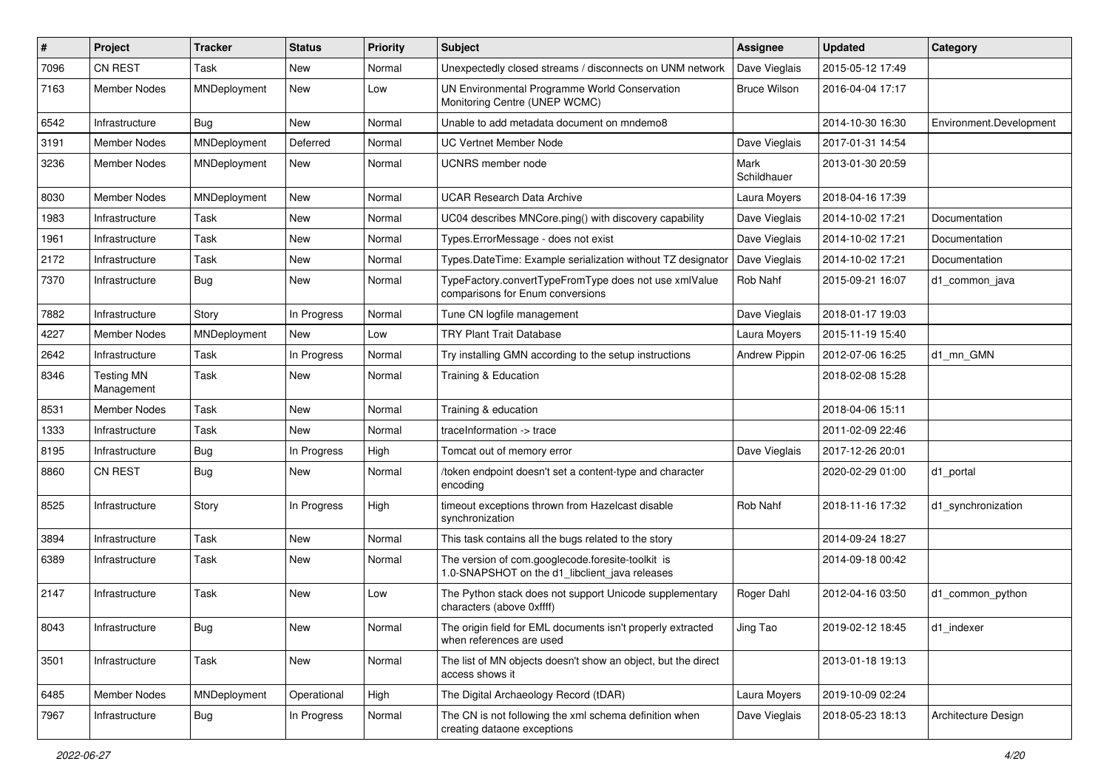| #    | Project                         | <b>Tracker</b> | <b>Status</b> | <b>Priority</b> | <b>Subject</b>                                                                                      | Assignee            | <b>Updated</b>   | Category                |
|------|---------------------------------|----------------|---------------|-----------------|-----------------------------------------------------------------------------------------------------|---------------------|------------------|-------------------------|
| 7096 | <b>CN REST</b>                  | Task           | <b>New</b>    | Normal          | Unexpectedly closed streams / disconnects on UNM network                                            | Dave Vieglais       | 2015-05-12 17:49 |                         |
| 7163 | <b>Member Nodes</b>             | MNDeployment   | <b>New</b>    | Low             | UN Environmental Programme World Conservation<br>Monitoring Centre (UNEP WCMC)                      | <b>Bruce Wilson</b> | 2016-04-04 17:17 |                         |
| 6542 | Infrastructure                  | Bug            | <b>New</b>    | Normal          | Unable to add metadata document on mndemo8                                                          |                     | 2014-10-30 16:30 | Environment.Development |
| 3191 | <b>Member Nodes</b>             | MNDeployment   | Deferred      | Normal          | <b>UC Vertnet Member Node</b>                                                                       | Dave Vieglais       | 2017-01-31 14:54 |                         |
| 3236 | <b>Member Nodes</b>             | MNDeployment   | New           | Normal          | <b>UCNRS</b> member node                                                                            | Mark<br>Schildhauer | 2013-01-30 20:59 |                         |
| 8030 | <b>Member Nodes</b>             | MNDeployment   | <b>New</b>    | Normal          | UCAR Research Data Archive                                                                          | Laura Moyers        | 2018-04-16 17:39 |                         |
| 1983 | Infrastructure                  | Task           | New           | Normal          | UC04 describes MNCore.ping() with discovery capability                                              | Dave Vieglais       | 2014-10-02 17:21 | Documentation           |
| 1961 | Infrastructure                  | Task           | <b>New</b>    | Normal          | Types.ErrorMessage - does not exist                                                                 | Dave Vieglais       | 2014-10-02 17:21 | Documentation           |
| 2172 | Infrastructure                  | Task           | New           | Normal          | Types.DateTime: Example serialization without TZ designator                                         | Dave Vieglais       | 2014-10-02 17:21 | Documentation           |
| 7370 | Infrastructure                  | Bug            | New           | Normal          | TypeFactory.convertTypeFromType does not use xmlValue<br>comparisons for Enum conversions           | Rob Nahf            | 2015-09-21 16:07 | d1 common java          |
| 7882 | Infrastructure                  | Story          | In Progress   | Normal          | Tune CN logfile management                                                                          | Dave Vieglais       | 2018-01-17 19:03 |                         |
| 4227 | Member Nodes                    | MNDeployment   | <b>New</b>    | Low             | <b>TRY Plant Trait Database</b>                                                                     | Laura Moyers        | 2015-11-19 15:40 |                         |
| 2642 | Infrastructure                  | Task           | In Progress   | Normal          | Try installing GMN according to the setup instructions                                              | Andrew Pippin       | 2012-07-06 16:25 | d1 mn GMN               |
| 8346 | <b>Testing MN</b><br>Management | Task           | New           | Normal          | Training & Education                                                                                |                     | 2018-02-08 15:28 |                         |
| 8531 | <b>Member Nodes</b>             | Task           | New           | Normal          | Training & education                                                                                |                     | 2018-04-06 15:11 |                         |
| 1333 | Infrastructure                  | Task           | New           | Normal          | traceInformation -> trace                                                                           |                     | 2011-02-09 22:46 |                         |
| 8195 | Infrastructure                  | <b>Bug</b>     | In Progress   | High            | Tomcat out of memory error                                                                          | Dave Vieglais       | 2017-12-26 20:01 |                         |
| 8860 | <b>CN REST</b>                  | Bug            | New           | Normal          | /token endpoint doesn't set a content-type and character<br>encoding                                |                     | 2020-02-29 01:00 | d1_portal               |
| 8525 | Infrastructure                  | Story          | In Progress   | High            | timeout exceptions thrown from Hazelcast disable<br>synchronization                                 | Rob Nahf            | 2018-11-16 17:32 | d1_synchronization      |
| 3894 | Infrastructure                  | Task           | <b>New</b>    | Normal          | This task contains all the bugs related to the story                                                |                     | 2014-09-24 18:27 |                         |
| 6389 | Infrastructure                  | Task           | New           | Normal          | The version of com.googlecode.foresite-toolkit is<br>1.0-SNAPSHOT on the d1_libclient_java releases |                     | 2014-09-18 00:42 |                         |
| 2147 | Infrastructure                  | Task           | <b>New</b>    | Low             | The Python stack does not support Unicode supplementary<br>characters (above 0xffff)                | Roger Dahl          | 2012-04-16 03:50 | d1_common_python        |
| 8043 | Infrastructure                  | Bug            | New           | Normal          | The origin field for EML documents isn't properly extracted<br>when references are used             | Jing Tao            | 2019-02-12 18:45 | d1_indexer              |
| 3501 | Infrastructure                  | Task           | New           | Normal          | The list of MN objects doesn't show an object, but the direct<br>access shows it                    |                     | 2013-01-18 19:13 |                         |
| 6485 | Member Nodes                    | MNDeployment   | Operational   | High            | The Digital Archaeology Record (tDAR)                                                               | Laura Moyers        | 2019-10-09 02:24 |                         |
| 7967 | Infrastructure                  | <b>Bug</b>     | In Progress   | Normal          | The CN is not following the xml schema definition when<br>creating dataone exceptions               | Dave Vieglais       | 2018-05-23 18:13 | Architecture Design     |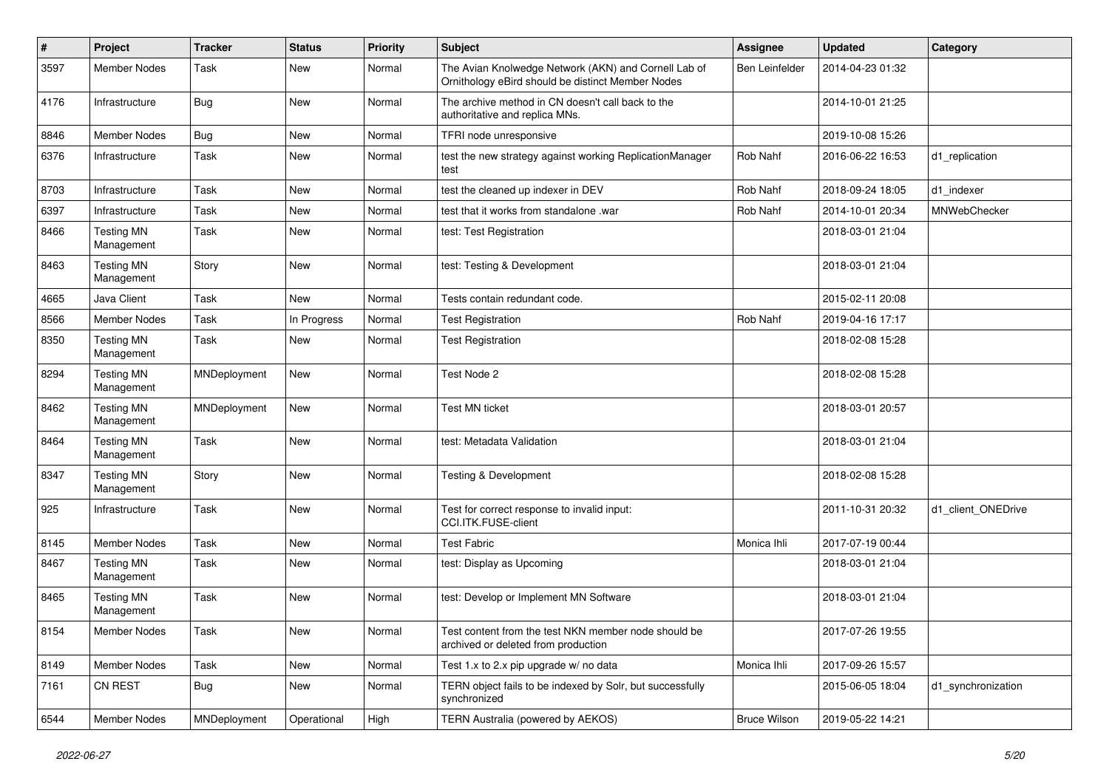| $\vert$ # | Project                         | <b>Tracker</b> | <b>Status</b> | <b>Priority</b> | Subject                                                                                                   | <b>Assignee</b>     | <b>Updated</b>   | Category            |
|-----------|---------------------------------|----------------|---------------|-----------------|-----------------------------------------------------------------------------------------------------------|---------------------|------------------|---------------------|
| 3597      | Member Nodes                    | Task           | New           | Normal          | The Avian Knolwedge Network (AKN) and Cornell Lab of<br>Ornithology eBird should be distinct Member Nodes | Ben Leinfelder      | 2014-04-23 01:32 |                     |
| 4176      | Infrastructure                  | Bug            | <b>New</b>    | Normal          | The archive method in CN doesn't call back to the<br>authoritative and replica MNs.                       |                     | 2014-10-01 21:25 |                     |
| 8846      | <b>Member Nodes</b>             | Bug            | <b>New</b>    | Normal          | TFRI node unresponsive                                                                                    |                     | 2019-10-08 15:26 |                     |
| 6376      | Infrastructure                  | Task           | <b>New</b>    | Normal          | test the new strategy against working ReplicationManager<br>test                                          | Rob Nahf            | 2016-06-22 16:53 | d1_replication      |
| 8703      | Infrastructure                  | Task           | <b>New</b>    | Normal          | test the cleaned up indexer in DEV                                                                        | Rob Nahf            | 2018-09-24 18:05 | d1_indexer          |
| 6397      | Infrastructure                  | Task           | <b>New</b>    | Normal          | test that it works from standalone .war                                                                   | Rob Nahf            | 2014-10-01 20:34 | <b>MNWebChecker</b> |
| 8466      | <b>Testing MN</b><br>Management | Task           | <b>New</b>    | Normal          | test: Test Registration                                                                                   |                     | 2018-03-01 21:04 |                     |
| 8463      | <b>Testing MN</b><br>Management | Story          | <b>New</b>    | Normal          | test: Testing & Development                                                                               |                     | 2018-03-01 21:04 |                     |
| 4665      | Java Client                     | Task           | <b>New</b>    | Normal          | Tests contain redundant code.                                                                             |                     | 2015-02-11 20:08 |                     |
| 8566      | Member Nodes                    | Task           | In Progress   | Normal          | <b>Test Registration</b>                                                                                  | Rob Nahf            | 2019-04-16 17:17 |                     |
| 8350      | <b>Testing MN</b><br>Management | Task           | <b>New</b>    | Normal          | <b>Test Registration</b>                                                                                  |                     | 2018-02-08 15:28 |                     |
| 8294      | <b>Testing MN</b><br>Management | MNDeployment   | New           | Normal          | Test Node 2                                                                                               |                     | 2018-02-08 15:28 |                     |
| 8462      | <b>Testing MN</b><br>Management | MNDeployment   | New           | Normal          | <b>Test MN ticket</b>                                                                                     |                     | 2018-03-01 20:57 |                     |
| 8464      | <b>Testing MN</b><br>Management | Task           | <b>New</b>    | Normal          | test: Metadata Validation                                                                                 |                     | 2018-03-01 21:04 |                     |
| 8347      | <b>Testing MN</b><br>Management | Story          | New           | Normal          | Testing & Development                                                                                     |                     | 2018-02-08 15:28 |                     |
| 925       | Infrastructure                  | Task           | <b>New</b>    | Normal          | Test for correct response to invalid input:<br>CCI.ITK.FUSE-client                                        |                     | 2011-10-31 20:32 | d1_client_ONEDrive  |
| 8145      | Member Nodes                    | Task           | <b>New</b>    | Normal          | <b>Test Fabric</b>                                                                                        | Monica Ihli         | 2017-07-19 00:44 |                     |
| 8467      | <b>Testing MN</b><br>Management | Task           | <b>New</b>    | Normal          | test: Display as Upcoming                                                                                 |                     | 2018-03-01 21:04 |                     |
| 8465      | <b>Testing MN</b><br>Management | Task           | New           | Normal          | test: Develop or Implement MN Software                                                                    |                     | 2018-03-01 21:04 |                     |
| 8154      | Member Nodes                    | Task           | New           | Normal          | Test content from the test NKN member node should be<br>archived or deleted from production               |                     | 2017-07-26 19:55 |                     |
| 8149      | <b>Member Nodes</b>             | Task           | New           | Normal          | Test 1.x to 2.x pip upgrade w/ no data                                                                    | Monica Ihli         | 2017-09-26 15:57 |                     |
| 7161      | CN REST                         | <b>Bug</b>     | New           | Normal          | TERN object fails to be indexed by Solr, but successfully<br>synchronized                                 |                     | 2015-06-05 18:04 | d1_synchronization  |
| 6544      | Member Nodes                    | MNDeployment   | Operational   | High            | TERN Australia (powered by AEKOS)                                                                         | <b>Bruce Wilson</b> | 2019-05-22 14:21 |                     |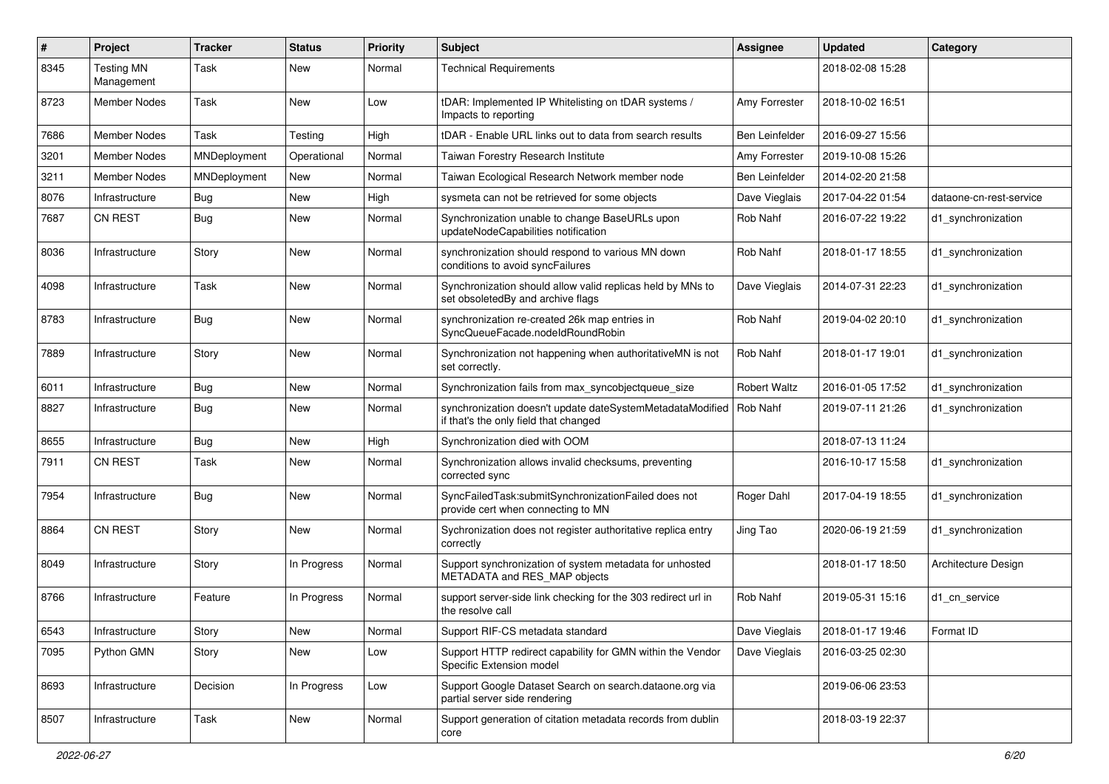| $\#$ | Project                         | <b>Tracker</b> | <b>Status</b> | Priority | <b>Subject</b>                                                                                     | <b>Assignee</b>     | <b>Updated</b>   | Category                |
|------|---------------------------------|----------------|---------------|----------|----------------------------------------------------------------------------------------------------|---------------------|------------------|-------------------------|
| 8345 | <b>Testing MN</b><br>Management | Task           | New           | Normal   | <b>Technical Requirements</b>                                                                      |                     | 2018-02-08 15:28 |                         |
| 8723 | <b>Member Nodes</b>             | Task           | New           | Low      | tDAR: Implemented IP Whitelisting on tDAR systems /<br>Impacts to reporting                        | Amy Forrester       | 2018-10-02 16:51 |                         |
| 7686 | <b>Member Nodes</b>             | Task           | Testing       | High     | tDAR - Enable URL links out to data from search results                                            | Ben Leinfelder      | 2016-09-27 15:56 |                         |
| 3201 | <b>Member Nodes</b>             | MNDeployment   | Operational   | Normal   | Taiwan Forestry Research Institute                                                                 | Amy Forrester       | 2019-10-08 15:26 |                         |
| 3211 | <b>Member Nodes</b>             | MNDeployment   | New           | Normal   | Taiwan Ecological Research Network member node                                                     | Ben Leinfelder      | 2014-02-20 21:58 |                         |
| 8076 | Infrastructure                  | Bug            | New           | High     | sysmeta can not be retrieved for some objects                                                      | Dave Vieglais       | 2017-04-22 01:54 | dataone-cn-rest-service |
| 7687 | <b>CN REST</b>                  | Bug            | New           | Normal   | Synchronization unable to change BaseURLs upon<br>updateNodeCapabilities notification              | Rob Nahf            | 2016-07-22 19:22 | d1 synchronization      |
| 8036 | Infrastructure                  | Story          | New           | Normal   | synchronization should respond to various MN down<br>conditions to avoid syncFailures              | Rob Nahf            | 2018-01-17 18:55 | d1 synchronization      |
| 4098 | Infrastructure                  | Task           | New           | Normal   | Synchronization should allow valid replicas held by MNs to<br>set obsoletedBy and archive flags    | Dave Vieglais       | 2014-07-31 22:23 | d1_synchronization      |
| 8783 | Infrastructure                  | Bug            | New           | Normal   | synchronization re-created 26k map entries in<br>SyncQueueFacade.nodeIdRoundRobin                  | Rob Nahf            | 2019-04-02 20:10 | d1 synchronization      |
| 7889 | Infrastructure                  | Story          | New           | Normal   | Synchronization not happening when authoritativeMN is not<br>set correctly.                        | Rob Nahf            | 2018-01-17 19:01 | d1_synchronization      |
| 6011 | Infrastructure                  | Bug            | New           | Normal   | Synchronization fails from max syncobjectqueue size                                                | <b>Robert Waltz</b> | 2016-01-05 17:52 | d1 synchronization      |
| 8827 | Infrastructure                  | Bug            | New           | Normal   | synchronization doesn't update dateSystemMetadataModified<br>if that's the only field that changed | Rob Nahf            | 2019-07-11 21:26 | d1 synchronization      |
| 8655 | Infrastructure                  | Bug            | New           | High     | Synchronization died with OOM                                                                      |                     | 2018-07-13 11:24 |                         |
| 7911 | <b>CN REST</b>                  | Task           | New           | Normal   | Synchronization allows invalid checksums, preventing<br>corrected sync                             |                     | 2016-10-17 15:58 | d1_synchronization      |
| 7954 | Infrastructure                  | Bug            | New           | Normal   | SyncFailedTask:submitSynchronizationFailed does not<br>provide cert when connecting to MN          | Roger Dahl          | 2017-04-19 18:55 | d1_synchronization      |
| 8864 | <b>CN REST</b>                  | Story          | New           | Normal   | Sychronization does not register authoritative replica entry<br>correctly                          | Jing Tao            | 2020-06-19 21:59 | d1_synchronization      |
| 8049 | Infrastructure                  | Story          | In Progress   | Normal   | Support synchronization of system metadata for unhosted<br>METADATA and RES_MAP objects            |                     | 2018-01-17 18:50 | Architecture Design     |
| 8766 | Infrastructure                  | Feature        | In Progress   | Normal   | support server-side link checking for the 303 redirect url in<br>the resolve call                  | Rob Nahf            | 2019-05-31 15:16 | d1 cn service           |
| 6543 | Infrastructure                  | Story          | New           | Normal   | Support RIF-CS metadata standard                                                                   | Dave Vieglais       | 2018-01-17 19:46 | Format ID               |
| 7095 | Python GMN                      | Story          | New           | Low      | Support HTTP redirect capability for GMN within the Vendor<br>Specific Extension model             | Dave Vieglais       | 2016-03-25 02:30 |                         |
| 8693 | Infrastructure                  | Decision       | In Progress   | Low      | Support Google Dataset Search on search.dataone.org via<br>partial server side rendering           |                     | 2019-06-06 23:53 |                         |
| 8507 | Infrastructure                  | Task           | New           | Normal   | Support generation of citation metadata records from dublin<br>core                                |                     | 2018-03-19 22:37 |                         |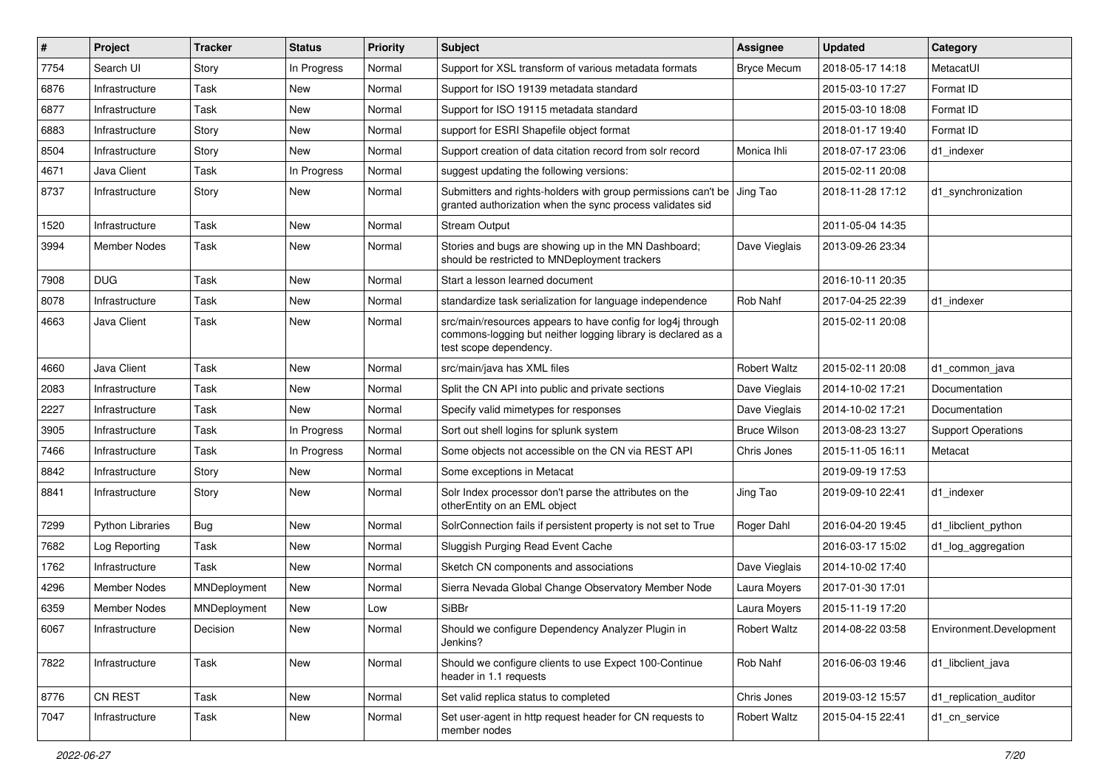| $\#$ | Project                 | <b>Tracker</b> | <b>Status</b> | <b>Priority</b> | <b>Subject</b>                                                                                                                                        | <b>Assignee</b>     | <b>Updated</b>   | Category                  |
|------|-------------------------|----------------|---------------|-----------------|-------------------------------------------------------------------------------------------------------------------------------------------------------|---------------------|------------------|---------------------------|
| 7754 | Search UI               | Story          | In Progress   | Normal          | Support for XSL transform of various metadata formats                                                                                                 | <b>Bryce Mecum</b>  | 2018-05-17 14:18 | MetacatUI                 |
| 6876 | Infrastructure          | Task           | <b>New</b>    | Normal          | Support for ISO 19139 metadata standard                                                                                                               |                     | 2015-03-10 17:27 | Format ID                 |
| 6877 | Infrastructure          | Task           | New           | Normal          | Support for ISO 19115 metadata standard                                                                                                               |                     | 2015-03-10 18:08 | Format ID                 |
| 6883 | Infrastructure          | Story          | New           | Normal          | support for ESRI Shapefile object format                                                                                                              |                     | 2018-01-17 19:40 | Format ID                 |
| 8504 | Infrastructure          | Story          | <b>New</b>    | Normal          | Support creation of data citation record from solr record                                                                                             | Monica Ihli         | 2018-07-17 23:06 | d1 indexer                |
| 4671 | Java Client             | Task           | In Progress   | Normal          | suggest updating the following versions:                                                                                                              |                     | 2015-02-11 20:08 |                           |
| 8737 | Infrastructure          | Story          | New           | Normal          | Submitters and rights-holders with group permissions can't be Jing Tao<br>granted authorization when the sync process validates sid                   |                     | 2018-11-28 17:12 | d1_synchronization        |
| 1520 | Infrastructure          | Task           | New           | Normal          | <b>Stream Output</b>                                                                                                                                  |                     | 2011-05-04 14:35 |                           |
| 3994 | Member Nodes            | Task           | <b>New</b>    | Normal          | Stories and bugs are showing up in the MN Dashboard;<br>should be restricted to MNDeployment trackers                                                 | Dave Vieglais       | 2013-09-26 23:34 |                           |
| 7908 | <b>DUG</b>              | Task           | <b>New</b>    | Normal          | Start a lesson learned document                                                                                                                       |                     | 2016-10-11 20:35 |                           |
| 8078 | Infrastructure          | Task           | <b>New</b>    | Normal          | standardize task serialization for language independence                                                                                              | Rob Nahf            | 2017-04-25 22:39 | d1 indexer                |
| 4663 | Java Client             | Task           | New           | Normal          | src/main/resources appears to have config for log4j through<br>commons-logging but neither logging library is declared as a<br>test scope dependency. |                     | 2015-02-11 20:08 |                           |
| 4660 | Java Client             | Task           | <b>New</b>    | Normal          | src/main/java has XML files                                                                                                                           | <b>Robert Waltz</b> | 2015-02-11 20:08 | d1 common java            |
| 2083 | Infrastructure          | Task           | New           | Normal          | Split the CN API into public and private sections                                                                                                     | Dave Vieglais       | 2014-10-02 17:21 | Documentation             |
| 2227 | Infrastructure          | Task           | New           | Normal          | Specify valid mimetypes for responses                                                                                                                 | Dave Vieglais       | 2014-10-02 17:21 | Documentation             |
| 3905 | Infrastructure          | Task           | In Progress   | Normal          | Sort out shell logins for splunk system                                                                                                               | <b>Bruce Wilson</b> | 2013-08-23 13:27 | <b>Support Operations</b> |
| 7466 | Infrastructure          | Task           | In Progress   | Normal          | Some objects not accessible on the CN via REST API                                                                                                    | Chris Jones         | 2015-11-05 16:11 | Metacat                   |
| 8842 | Infrastructure          | Story          | New           | Normal          | Some exceptions in Metacat                                                                                                                            |                     | 2019-09-19 17:53 |                           |
| 8841 | Infrastructure          | Story          | New           | Normal          | Solr Index processor don't parse the attributes on the<br>otherEntity on an EML object                                                                | Jing Tao            | 2019-09-10 22:41 | d1 indexer                |
| 7299 | <b>Python Libraries</b> | Bug            | <b>New</b>    | Normal          | SolrConnection fails if persistent property is not set to True                                                                                        | Roger Dahl          | 2016-04-20 19:45 | d1_libclient_python       |
| 7682 | Log Reporting           | Task           | <b>New</b>    | Normal          | Sluggish Purging Read Event Cache                                                                                                                     |                     | 2016-03-17 15:02 | d1_log_aggregation        |
| 1762 | Infrastructure          | Task           | New           | Normal          | Sketch CN components and associations                                                                                                                 | Dave Vieglais       | 2014-10-02 17:40 |                           |
| 4296 | Member Nodes            | MNDeployment   | New           | Normal          | Sierra Nevada Global Change Observatory Member Node                                                                                                   | Laura Moyers        | 2017-01-30 17:01 |                           |
| 6359 | <b>Member Nodes</b>     | MNDeployment   | <b>New</b>    | Low             | <b>SiBBr</b>                                                                                                                                          | Laura Moyers        | 2015-11-19 17:20 |                           |
| 6067 | Infrastructure          | Decision       | New           | Normal          | Should we configure Dependency Analyzer Plugin in<br>Jenkins?                                                                                         | Robert Waltz        | 2014-08-22 03:58 | Environment.Development   |
| 7822 | Infrastructure          | Task           | New           | Normal          | Should we configure clients to use Expect 100-Continue<br>header in 1.1 requests                                                                      | Rob Nahf            | 2016-06-03 19:46 | d1_libclient_java         |
| 8776 | CN REST                 | Task           | New           | Normal          | Set valid replica status to completed                                                                                                                 | Chris Jones         | 2019-03-12 15:57 | d1_replication_auditor    |
| 7047 | Infrastructure          | Task           | New           | Normal          | Set user-agent in http request header for CN requests to<br>member nodes                                                                              | <b>Robert Waltz</b> | 2015-04-15 22:41 | d1 cn service             |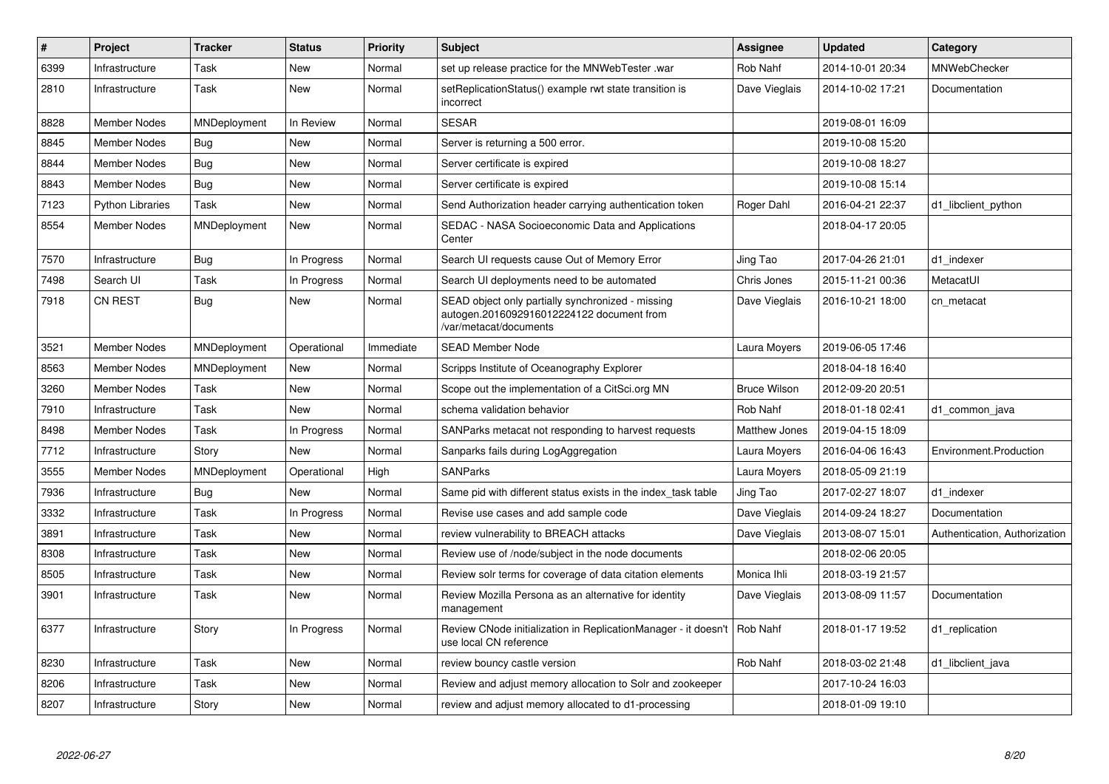| $\#$ | Project                 | <b>Tracker</b> | <b>Status</b> | Priority  | <b>Subject</b>                                                                                                           | Assignee            | <b>Updated</b>   | Category                      |
|------|-------------------------|----------------|---------------|-----------|--------------------------------------------------------------------------------------------------------------------------|---------------------|------------------|-------------------------------|
| 6399 | Infrastructure          | Task           | New           | Normal    | set up release practice for the MNWebTester .war                                                                         | Rob Nahf            | 2014-10-01 20:34 | <b>MNWebChecker</b>           |
| 2810 | Infrastructure          | Task           | New           | Normal    | setReplicationStatus() example rwt state transition is<br>incorrect                                                      | Dave Vieglais       | 2014-10-02 17:21 | Documentation                 |
| 8828 | Member Nodes            | MNDeployment   | In Review     | Normal    | <b>SESAR</b>                                                                                                             |                     | 2019-08-01 16:09 |                               |
| 8845 | Member Nodes            | Bug            | New           | Normal    | Server is returning a 500 error.                                                                                         |                     | 2019-10-08 15:20 |                               |
| 8844 | Member Nodes            | <b>Bug</b>     | <b>New</b>    | Normal    | Server certificate is expired                                                                                            |                     | 2019-10-08 18:27 |                               |
| 8843 | Member Nodes            | Bug            | New           | Normal    | Server certificate is expired                                                                                            |                     | 2019-10-08 15:14 |                               |
| 7123 | <b>Python Libraries</b> | Task           | <b>New</b>    | Normal    | Send Authorization header carrying authentication token                                                                  | Roger Dahl          | 2016-04-21 22:37 | d1 libclient python           |
| 8554 | Member Nodes            | MNDeployment   | <b>New</b>    | Normal    | <b>SEDAC - NASA Socioeconomic Data and Applications</b><br>Center                                                        |                     | 2018-04-17 20:05 |                               |
| 7570 | Infrastructure          | <b>Bug</b>     | In Progress   | Normal    | Search UI requests cause Out of Memory Error                                                                             | Jing Tao            | 2017-04-26 21:01 | d1_indexer                    |
| 7498 | Search UI               | Task           | In Progress   | Normal    | Search UI deployments need to be automated                                                                               | Chris Jones         | 2015-11-21 00:36 | MetacatUI                     |
| 7918 | <b>CN REST</b>          | <b>Bug</b>     | <b>New</b>    | Normal    | SEAD object only partially synchronized - missing<br>autogen.2016092916012224122 document from<br>/var/metacat/documents | Dave Vieglais       | 2016-10-21 18:00 | cn_metacat                    |
| 3521 | <b>Member Nodes</b>     | MNDeployment   | Operational   | Immediate | <b>SEAD Member Node</b>                                                                                                  | Laura Moyers        | 2019-06-05 17:46 |                               |
| 8563 | Member Nodes            | MNDeployment   | <b>New</b>    | Normal    | Scripps Institute of Oceanography Explorer                                                                               |                     | 2018-04-18 16:40 |                               |
| 3260 | <b>Member Nodes</b>     | Task           | <b>New</b>    | Normal    | Scope out the implementation of a CitSci.org MN                                                                          | <b>Bruce Wilson</b> | 2012-09-20 20:51 |                               |
| 7910 | Infrastructure          | Task           | New           | Normal    | schema validation behavior                                                                                               | Rob Nahf            | 2018-01-18 02:41 | d1 common java                |
| 8498 | Member Nodes            | Task           | In Progress   | Normal    | SANParks metacat not responding to harvest requests                                                                      | Matthew Jones       | 2019-04-15 18:09 |                               |
| 7712 | Infrastructure          | Story          | <b>New</b>    | Normal    | Sanparks fails during LogAggregation                                                                                     | Laura Moyers        | 2016-04-06 16:43 | Environment.Production        |
| 3555 | Member Nodes            | MNDeployment   | Operational   | High      | <b>SANParks</b>                                                                                                          | Laura Moyers        | 2018-05-09 21:19 |                               |
| 7936 | Infrastructure          | Bug            | New           | Normal    | Same pid with different status exists in the index task table                                                            | Jing Tao            | 2017-02-27 18:07 | d1 indexer                    |
| 3332 | Infrastructure          | Task           | In Progress   | Normal    | Revise use cases and add sample code                                                                                     | Dave Vieglais       | 2014-09-24 18:27 | Documentation                 |
| 3891 | Infrastructure          | Task           | New           | Normal    | review vulnerability to BREACH attacks                                                                                   | Dave Vieglais       | 2013-08-07 15:01 | Authentication, Authorization |
| 8308 | Infrastructure          | Task           | New           | Normal    | Review use of /node/subject in the node documents                                                                        |                     | 2018-02-06 20:05 |                               |
| 8505 | Infrastructure          | Task           | New           | Normal    | Review solr terms for coverage of data citation elements                                                                 | Monica Ihli         | 2018-03-19 21:57 |                               |
| 3901 | Infrastructure          | Task           | <b>New</b>    | Normal    | Review Mozilla Persona as an alternative for identity<br>management                                                      | Dave Vieglais       | 2013-08-09 11:57 | Documentation                 |
| 6377 | Infrastructure          | Story          | In Progress   | Normal    | Review CNode initialization in ReplicationManager - it doesn't<br>use local CN reference                                 | Rob Nahf            | 2018-01-17 19:52 | d1 replication                |
| 8230 | Infrastructure          | Task           | New           | Normal    | review bouncy castle version                                                                                             | Rob Nahf            | 2018-03-02 21:48 | d1 libclient java             |
| 8206 | Infrastructure          | Task           | New           | Normal    | Review and adjust memory allocation to Solr and zookeeper                                                                |                     | 2017-10-24 16:03 |                               |
| 8207 | Infrastructure          | Story          | New           | Normal    | review and adjust memory allocated to d1-processing                                                                      |                     | 2018-01-09 19:10 |                               |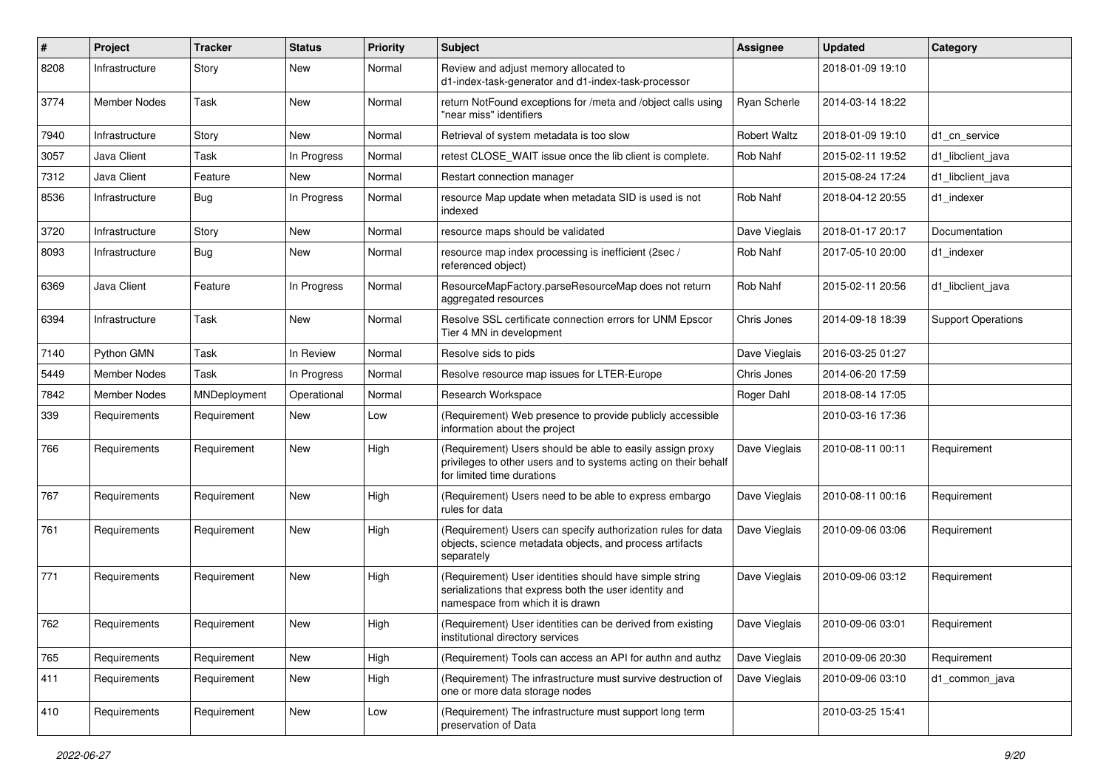| $\#$ | Project        | <b>Tracker</b> | <b>Status</b> | <b>Priority</b> | <b>Subject</b>                                                                                                                                             | <b>Assignee</b>     | <b>Updated</b>   | Category                  |
|------|----------------|----------------|---------------|-----------------|------------------------------------------------------------------------------------------------------------------------------------------------------------|---------------------|------------------|---------------------------|
| 8208 | Infrastructure | Story          | New           | Normal          | Review and adjust memory allocated to<br>d1-index-task-generator and d1-index-task-processor                                                               |                     | 2018-01-09 19:10 |                           |
| 3774 | Member Nodes   | Task           | New           | Normal          | return NotFound exceptions for /meta and /object calls using<br>"near miss" identifiers                                                                    | Ryan Scherle        | 2014-03-14 18:22 |                           |
| 7940 | Infrastructure | Story          | <b>New</b>    | Normal          | Retrieval of system metadata is too slow                                                                                                                   | <b>Robert Waltz</b> | 2018-01-09 19:10 | d1 cn service             |
| 3057 | Java Client    | Task           | In Progress   | Normal          | retest CLOSE WAIT issue once the lib client is complete.                                                                                                   | Rob Nahf            | 2015-02-11 19:52 | d1 libclient java         |
| 7312 | Java Client    | Feature        | New           | Normal          | Restart connection manager                                                                                                                                 |                     | 2015-08-24 17:24 | d1 libclient java         |
| 8536 | Infrastructure | Bug            | In Progress   | Normal          | resource Map update when metadata SID is used is not<br>indexed                                                                                            | Rob Nahf            | 2018-04-12 20:55 | d1_indexer                |
| 3720 | Infrastructure | Story          | <b>New</b>    | Normal          | resource maps should be validated                                                                                                                          | Dave Vieglais       | 2018-01-17 20:17 | Documentation             |
| 8093 | Infrastructure | Bug            | New           | Normal          | resource map index processing is inefficient (2sec /<br>referenced object)                                                                                 | Rob Nahf            | 2017-05-10 20:00 | d1 indexer                |
| 6369 | Java Client    | Feature        | In Progress   | Normal          | ResourceMapFactory.parseResourceMap does not return<br>aggregated resources                                                                                | Rob Nahf            | 2015-02-11 20:56 | d1 libclient java         |
| 6394 | Infrastructure | Task           | New           | Normal          | Resolve SSL certificate connection errors for UNM Epscor<br>Tier 4 MN in development                                                                       | Chris Jones         | 2014-09-18 18:39 | <b>Support Operations</b> |
| 7140 | Python GMN     | Task           | In Review     | Normal          | Resolve sids to pids                                                                                                                                       | Dave Vieglais       | 2016-03-25 01:27 |                           |
| 5449 | Member Nodes   | Task           | In Progress   | Normal          | Resolve resource map issues for LTER-Europe                                                                                                                | Chris Jones         | 2014-06-20 17:59 |                           |
| 7842 | Member Nodes   | MNDeployment   | Operational   | Normal          | Research Workspace                                                                                                                                         | Roger Dahl          | 2018-08-14 17:05 |                           |
| 339  | Requirements   | Requirement    | New           | Low             | (Requirement) Web presence to provide publicly accessible<br>information about the project                                                                 |                     | 2010-03-16 17:36 |                           |
| 766  | Requirements   | Requirement    | <b>New</b>    | High            | (Requirement) Users should be able to easily assign proxy<br>privileges to other users and to systems acting on their behalf<br>for limited time durations | Dave Vieglais       | 2010-08-11 00:11 | Requirement               |
| 767  | Requirements   | Requirement    | <b>New</b>    | High            | (Requirement) Users need to be able to express embargo<br>rules for data                                                                                   | Dave Vieglais       | 2010-08-11 00:16 | Requirement               |
| 761  | Requirements   | Requirement    | New           | High            | (Requirement) Users can specify authorization rules for data<br>objects, science metadata objects, and process artifacts<br>separately                     | Dave Vieglais       | 2010-09-06 03:06 | Requirement               |
| 771  | Requirements   | Requirement    | New           | High            | (Requirement) User identities should have simple string<br>serializations that express both the user identity and<br>namespace from which it is drawn      | Dave Vieglais       | 2010-09-06 03:12 | Requirement               |
| 762  | Requirements   | Requirement    | New           | High            | (Requirement) User identities can be derived from existing<br>institutional directory services                                                             | Dave Vieglais       | 2010-09-06 03:01 | Requirement               |
| 765  | Requirements   | Requirement    | New           | High            | (Requirement) Tools can access an API for authn and authz                                                                                                  | Dave Vieglais       | 2010-09-06 20:30 | Requirement               |
| 411  | Requirements   | Requirement    | New           | High            | (Requirement) The infrastructure must survive destruction of<br>one or more data storage nodes                                                             | Dave Vieglais       | 2010-09-06 03:10 | d1_common_java            |
| 410  | Requirements   | Requirement    | New           | Low             | (Requirement) The infrastructure must support long term<br>preservation of Data                                                                            |                     | 2010-03-25 15:41 |                           |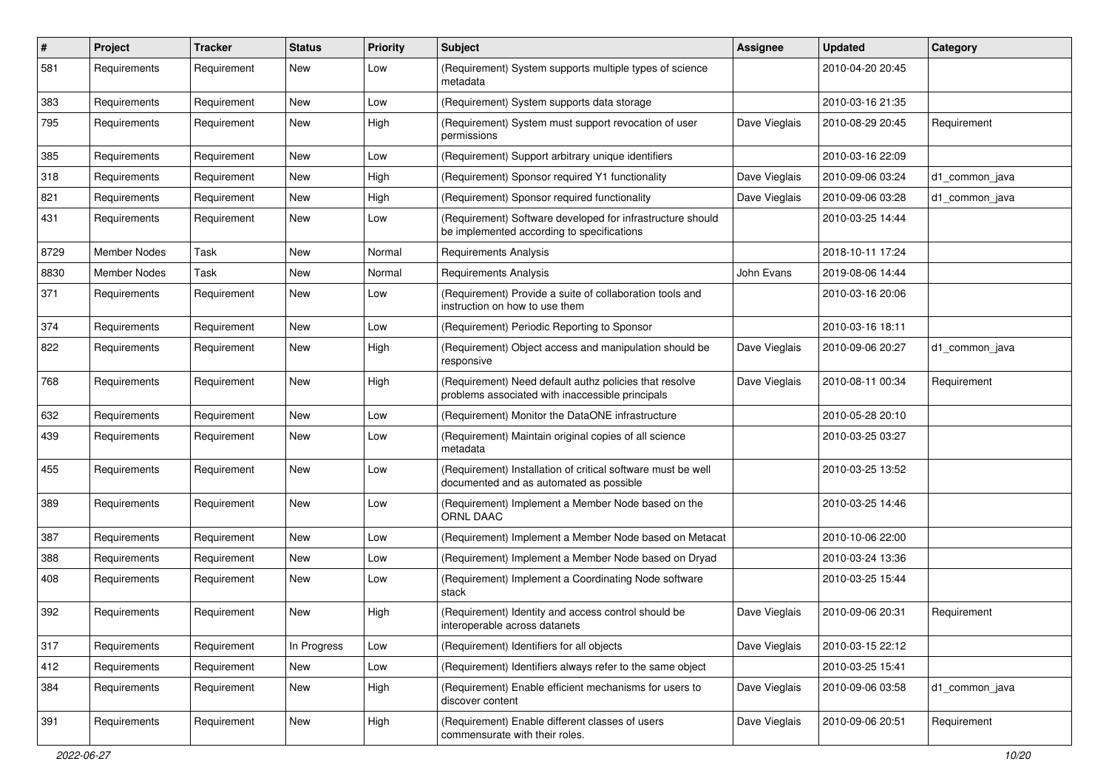| $\#$ | Project             | <b>Tracker</b> | <b>Status</b> | <b>Priority</b> | <b>Subject</b>                                                                                             | <b>Assignee</b> | Updated          | Category       |
|------|---------------------|----------------|---------------|-----------------|------------------------------------------------------------------------------------------------------------|-----------------|------------------|----------------|
| 581  | Requirements        | Requirement    | New           | Low             | (Requirement) System supports multiple types of science<br>metadata                                        |                 | 2010-04-20 20:45 |                |
| 383  | Requirements        | Requirement    | New           | Low             | (Requirement) System supports data storage                                                                 |                 | 2010-03-16 21:35 |                |
| 795  | Requirements        | Requirement    | New           | High            | (Requirement) System must support revocation of user<br>permissions                                        | Dave Vieglais   | 2010-08-29 20:45 | Requirement    |
| 385  | Requirements        | Requirement    | New           | Low             | (Requirement) Support arbitrary unique identifiers                                                         |                 | 2010-03-16 22:09 |                |
| 318  | Requirements        | Requirement    | New           | High            | (Requirement) Sponsor required Y1 functionality                                                            | Dave Vieglais   | 2010-09-06 03:24 | d1_common_java |
| 821  | Requirements        | Requirement    | New           | High            | (Requirement) Sponsor required functionality                                                               | Dave Vieglais   | 2010-09-06 03:28 | d1 common java |
| 431  | Requirements        | Requirement    | New           | Low             | (Requirement) Software developed for infrastructure should<br>be implemented according to specifications   |                 | 2010-03-25 14:44 |                |
| 8729 | <b>Member Nodes</b> | Task           | New           | Normal          | <b>Requirements Analysis</b>                                                                               |                 | 2018-10-11 17:24 |                |
| 8830 | <b>Member Nodes</b> | Task           | New           | Normal          | <b>Requirements Analysis</b>                                                                               | John Evans      | 2019-08-06 14:44 |                |
| 371  | Requirements        | Requirement    | New           | Low             | (Requirement) Provide a suite of collaboration tools and<br>instruction on how to use them                 |                 | 2010-03-16 20:06 |                |
| 374  | Requirements        | Requirement    | New           | Low             | (Requirement) Periodic Reporting to Sponsor                                                                |                 | 2010-03-16 18:11 |                |
| 822  | Requirements        | Requirement    | New           | High            | (Requirement) Object access and manipulation should be<br>responsive                                       | Dave Vieglais   | 2010-09-06 20:27 | d1 common java |
| 768  | Requirements        | Requirement    | New           | High            | (Requirement) Need default authz policies that resolve<br>problems associated with inaccessible principals | Dave Vieglais   | 2010-08-11 00:34 | Requirement    |
| 632  | Requirements        | Requirement    | New           | Low             | (Requirement) Monitor the DataONE infrastructure                                                           |                 | 2010-05-28 20:10 |                |
| 439  | Requirements        | Requirement    | New           | Low             | (Requirement) Maintain original copies of all science<br>metadata                                          |                 | 2010-03-25 03:27 |                |
| 455  | Requirements        | Requirement    | New           | Low             | (Requirement) Installation of critical software must be well<br>documented and as automated as possible    |                 | 2010-03-25 13:52 |                |
| 389  | Requirements        | Requirement    | New           | Low             | (Requirement) Implement a Member Node based on the<br>ORNL DAAC                                            |                 | 2010-03-25 14:46 |                |
| 387  | Requirements        | Requirement    | New           | Low             | (Requirement) Implement a Member Node based on Metacat                                                     |                 | 2010-10-06 22:00 |                |
| 388  | Requirements        | Requirement    | New           | Low             | (Requirement) Implement a Member Node based on Dryad                                                       |                 | 2010-03-24 13:36 |                |
| 408  | Requirements        | Requirement    | New           | Low             | (Requirement) Implement a Coordinating Node software<br>stack                                              |                 | 2010-03-25 15:44 |                |
| 392  | Requirements        | Requirement    | New           | High            | (Requirement) Identity and access control should be<br>interoperable across datanets                       | Dave Vieglais   | 2010-09-06 20:31 | Requirement    |
| 317  | Requirements        | Requirement    | In Progress   | Low             | (Requirement) Identifiers for all objects                                                                  | Dave Vieglais   | 2010-03-15 22:12 |                |
| 412  | Requirements        | Requirement    | New           | Low             | (Requirement) Identifiers always refer to the same object                                                  |                 | 2010-03-25 15:41 |                |
| 384  | Requirements        | Requirement    | New           | High            | (Requirement) Enable efficient mechanisms for users to<br>discover content                                 | Dave Vieglais   | 2010-09-06 03:58 | d1_common_java |
| 391  | Requirements        | Requirement    | New           | High            | (Requirement) Enable different classes of users<br>commensurate with their roles.                          | Dave Vieglais   | 2010-09-06 20:51 | Requirement    |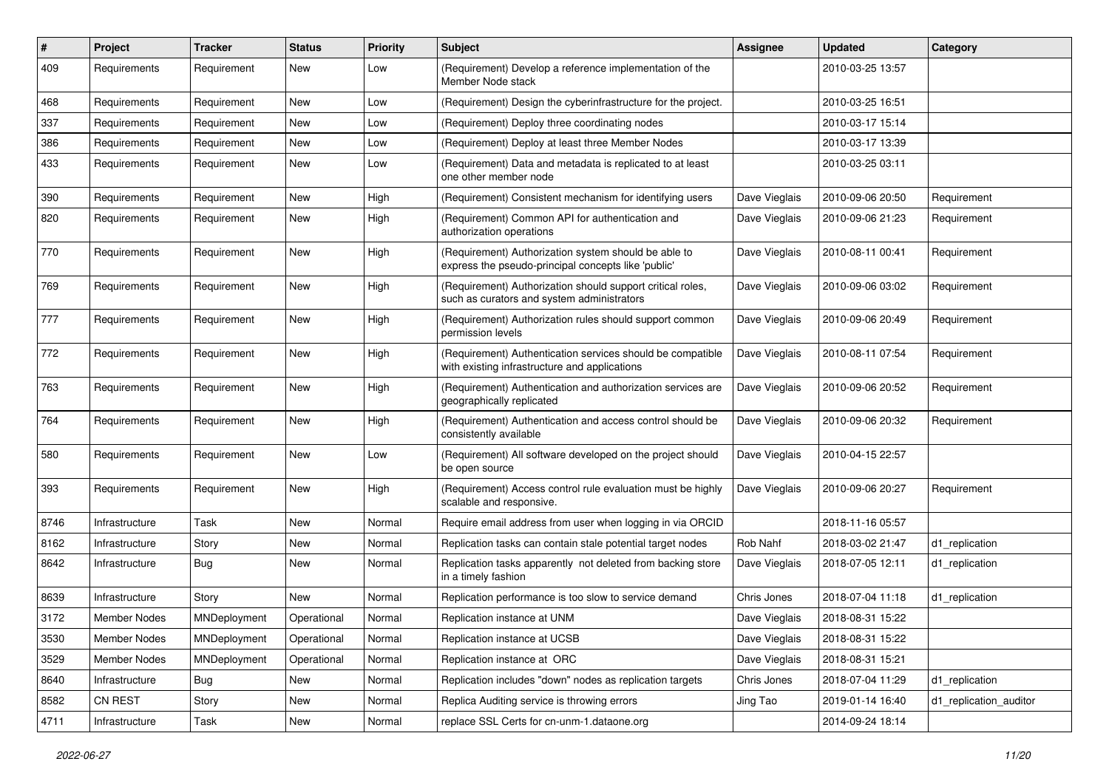| $\pmb{\#}$ | <b>Project</b>      | <b>Tracker</b> | <b>Status</b> | <b>Priority</b> | <b>Subject</b>                                                                                              | Assignee      | <b>Updated</b>   | Category               |
|------------|---------------------|----------------|---------------|-----------------|-------------------------------------------------------------------------------------------------------------|---------------|------------------|------------------------|
| 409        | Requirements        | Requirement    | New           | Low             | (Requirement) Develop a reference implementation of the<br>Member Node stack                                |               | 2010-03-25 13:57 |                        |
| 468        | Requirements        | Requirement    | New           | Low             | (Requirement) Design the cyberinfrastructure for the project.                                               |               | 2010-03-25 16:51 |                        |
| 337        | Requirements        | Requirement    | New           | Low             | (Requirement) Deploy three coordinating nodes                                                               |               | 2010-03-17 15:14 |                        |
| 386        | Requirements        | Requirement    | New           | Low             | (Requirement) Deploy at least three Member Nodes                                                            |               | 2010-03-17 13:39 |                        |
| 433        | Requirements        | Requirement    | New           | Low             | (Requirement) Data and metadata is replicated to at least<br>one other member node                          |               | 2010-03-25 03:11 |                        |
| 390        | Requirements        | Requirement    | New           | High            | (Requirement) Consistent mechanism for identifying users                                                    | Dave Vieglais | 2010-09-06 20:50 | Requirement            |
| 820        | Requirements        | Requirement    | New           | High            | (Requirement) Common API for authentication and<br>authorization operations                                 | Dave Vieglais | 2010-09-06 21:23 | Requirement            |
| 770        | Requirements        | Requirement    | New           | High            | (Requirement) Authorization system should be able to<br>express the pseudo-principal concepts like 'public' | Dave Vieglais | 2010-08-11 00:41 | Requirement            |
| 769        | Requirements        | Requirement    | New           | High            | (Requirement) Authorization should support critical roles,<br>such as curators and system administrators    | Dave Vieglais | 2010-09-06 03:02 | Requirement            |
| 777        | Requirements        | Requirement    | New           | High            | (Requirement) Authorization rules should support common<br>permission levels                                | Dave Vieglais | 2010-09-06 20:49 | Requirement            |
| 772        | Requirements        | Requirement    | New           | High            | (Requirement) Authentication services should be compatible<br>with existing infrastructure and applications | Dave Vieglais | 2010-08-11 07:54 | Requirement            |
| 763        | Requirements        | Requirement    | New           | High            | (Requirement) Authentication and authorization services are<br>geographically replicated                    | Dave Vieglais | 2010-09-06 20:52 | Requirement            |
| 764        | Requirements        | Requirement    | New           | High            | (Requirement) Authentication and access control should be<br>consistently available                         | Dave Vieglais | 2010-09-06 20:32 | Requirement            |
| 580        | Requirements        | Requirement    | New           | Low             | (Requirement) All software developed on the project should<br>be open source                                | Dave Vieglais | 2010-04-15 22:57 |                        |
| 393        | Requirements        | Requirement    | New           | High            | (Requirement) Access control rule evaluation must be highly<br>scalable and responsive.                     | Dave Vieglais | 2010-09-06 20:27 | Requirement            |
| 8746       | Infrastructure      | Task           | New           | Normal          | Require email address from user when logging in via ORCID                                                   |               | 2018-11-16 05:57 |                        |
| 8162       | Infrastructure      | Story          | New           | Normal          | Replication tasks can contain stale potential target nodes                                                  | Rob Nahf      | 2018-03-02 21:47 | d1 replication         |
| 8642       | Infrastructure      | Bug            | New           | Normal          | Replication tasks apparently not deleted from backing store<br>in a timely fashion                          | Dave Vieglais | 2018-07-05 12:11 | d1_replication         |
| 8639       | Infrastructure      | Story          | New           | Normal          | Replication performance is too slow to service demand                                                       | Chris Jones   | 2018-07-04 11:18 | d1_replication         |
| 3172       | Member Nodes        | MNDeployment   | Operational   | Normal          | Replication instance at UNM                                                                                 | Dave Vieglais | 2018-08-31 15:22 |                        |
| 3530       | <b>Member Nodes</b> | MNDeployment   | Operational   | Normal          | Replication instance at UCSB                                                                                | Dave Vieglais | 2018-08-31 15:22 |                        |
| 3529       | Member Nodes        | MNDeployment   | Operational   | Normal          | Replication instance at ORC                                                                                 | Dave Vieglais | 2018-08-31 15:21 |                        |
| 8640       | Infrastructure      | <b>Bug</b>     | New           | Normal          | Replication includes "down" nodes as replication targets                                                    | Chris Jones   | 2018-07-04 11:29 | d1_replication         |
| 8582       | CN REST             | Story          | New           | Normal          | Replica Auditing service is throwing errors                                                                 | Jing Tao      | 2019-01-14 16:40 | d1_replication_auditor |
| 4711       | Infrastructure      | Task           | New           | Normal          | replace SSL Certs for cn-unm-1.dataone.org                                                                  |               | 2014-09-24 18:14 |                        |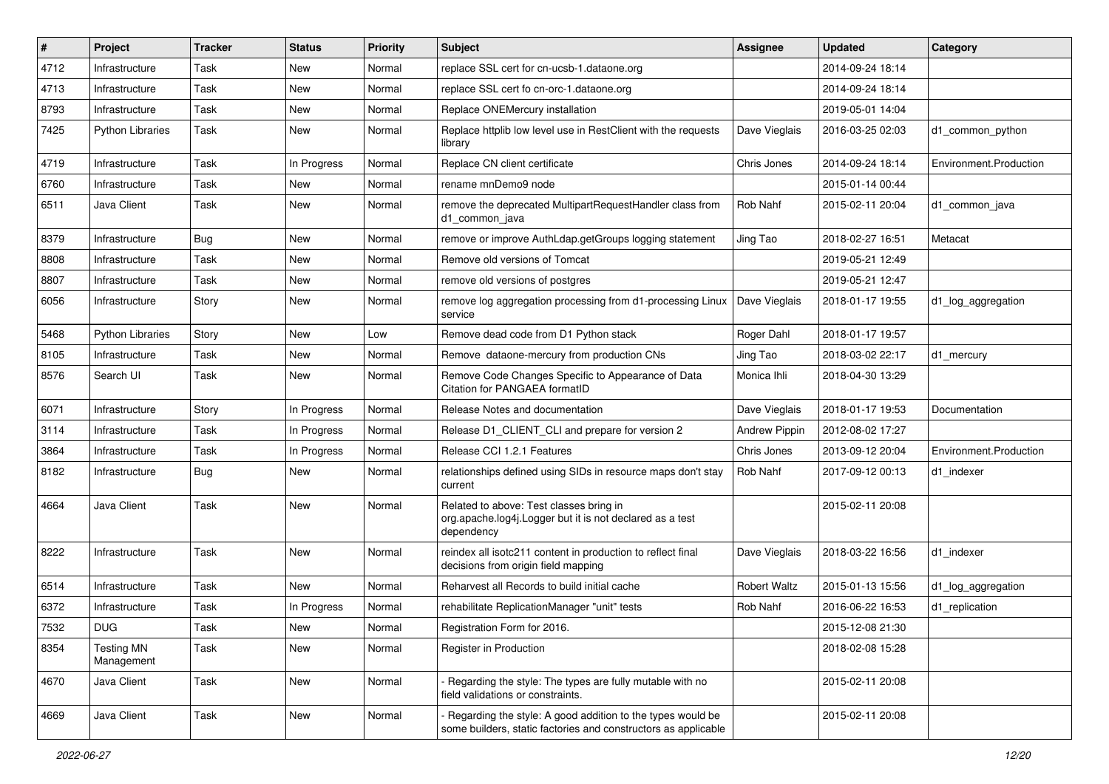| #    | Project                         | <b>Tracker</b> | <b>Status</b> | <b>Priority</b> | <b>Subject</b>                                                                                                               | <b>Assignee</b>      | <b>Updated</b>   | Category               |
|------|---------------------------------|----------------|---------------|-----------------|------------------------------------------------------------------------------------------------------------------------------|----------------------|------------------|------------------------|
| 4712 | Infrastructure                  | Task           | New           | Normal          | replace SSL cert for cn-ucsb-1.dataone.org                                                                                   |                      | 2014-09-24 18:14 |                        |
| 4713 | Infrastructure                  | Task           | New           | Normal          | replace SSL cert fo cn-orc-1.dataone.org                                                                                     |                      | 2014-09-24 18:14 |                        |
| 8793 | Infrastructure                  | Task           | New           | Normal          | Replace ONEMercury installation                                                                                              |                      | 2019-05-01 14:04 |                        |
| 7425 | <b>Python Libraries</b>         | Task           | New           | Normal          | Replace httplib low level use in RestClient with the requests<br>library                                                     | Dave Vieglais        | 2016-03-25 02:03 | d1 common python       |
| 4719 | Infrastructure                  | Task           | In Progress   | Normal          | Replace CN client certificate                                                                                                | Chris Jones          | 2014-09-24 18:14 | Environment.Production |
| 6760 | Infrastructure                  | Task           | New           | Normal          | rename mnDemo9 node                                                                                                          |                      | 2015-01-14 00:44 |                        |
| 6511 | Java Client                     | Task           | New           | Normal          | remove the deprecated MultipartRequestHandler class from<br>d1 common java                                                   | Rob Nahf             | 2015-02-11 20:04 | d1_common_java         |
| 8379 | Infrastructure                  | <b>Bug</b>     | New           | Normal          | remove or improve AuthLdap.getGroups logging statement                                                                       | Jing Tao             | 2018-02-27 16:51 | Metacat                |
| 8808 | Infrastructure                  | Task           | New           | Normal          | Remove old versions of Tomcat                                                                                                |                      | 2019-05-21 12:49 |                        |
| 8807 | Infrastructure                  | Task           | New           | Normal          | remove old versions of postgres                                                                                              |                      | 2019-05-21 12:47 |                        |
| 6056 | Infrastructure                  | Story          | New           | Normal          | remove log aggregation processing from d1-processing Linux<br>service                                                        | Dave Vieglais        | 2018-01-17 19:55 | d1_log_aggregation     |
| 5468 | <b>Python Libraries</b>         | Story          | New           | Low             | Remove dead code from D1 Python stack                                                                                        | Roger Dahl           | 2018-01-17 19:57 |                        |
| 8105 | Infrastructure                  | Task           | New           | Normal          | Remove dataone-mercury from production CNs                                                                                   | Jing Tao             | 2018-03-02 22:17 | d1 mercury             |
| 8576 | Search UI                       | Task           | New           | Normal          | Remove Code Changes Specific to Appearance of Data<br>Citation for PANGAEA formatID                                          | Monica Ihli          | 2018-04-30 13:29 |                        |
| 6071 | Infrastructure                  | Story          | In Progress   | Normal          | Release Notes and documentation                                                                                              | Dave Vieglais        | 2018-01-17 19:53 | Documentation          |
| 3114 | Infrastructure                  | Task           | In Progress   | Normal          | Release D1_CLIENT_CLI and prepare for version 2                                                                              | <b>Andrew Pippin</b> | 2012-08-02 17:27 |                        |
| 3864 | Infrastructure                  | Task           | In Progress   | Normal          | Release CCI 1.2.1 Features                                                                                                   | Chris Jones          | 2013-09-12 20:04 | Environment.Production |
| 8182 | Infrastructure                  | <b>Bug</b>     | New           | Normal          | relationships defined using SIDs in resource maps don't stay<br>current                                                      | Rob Nahf             | 2017-09-12 00:13 | d1_indexer             |
| 4664 | Java Client                     | Task           | New           | Normal          | Related to above: Test classes bring in<br>org.apache.log4j.Logger but it is not declared as a test<br>dependency            |                      | 2015-02-11 20:08 |                        |
| 8222 | Infrastructure                  | Task           | New           | Normal          | reindex all isotc211 content in production to reflect final<br>decisions from origin field mapping                           | Dave Vieglais        | 2018-03-22 16:56 | d1_indexer             |
| 6514 | Infrastructure                  | Task           | New           | Normal          | Reharvest all Records to build initial cache                                                                                 | <b>Robert Waltz</b>  | 2015-01-13 15:56 | d1_log_aggregation     |
| 6372 | Infrastructure                  | Task           | In Progress   | Normal          | rehabilitate ReplicationManager "unit" tests                                                                                 | Rob Nahf             | 2016-06-22 16:53 | d1 replication         |
| 7532 | <b>DUG</b>                      | Task           | New           | Normal          | Registration Form for 2016.                                                                                                  |                      | 2015-12-08 21:30 |                        |
| 8354 | <b>Testing MN</b><br>Management | Task           | New           | Normal          | Register in Production                                                                                                       |                      | 2018-02-08 15:28 |                        |
| 4670 | Java Client                     | Task           | New           | Normal          | Regarding the style: The types are fully mutable with no<br>field validations or constraints.                                |                      | 2015-02-11 20:08 |                        |
| 4669 | Java Client                     | Task           | New           | Normal          | Regarding the style: A good addition to the types would be<br>some builders, static factories and constructors as applicable |                      | 2015-02-11 20:08 |                        |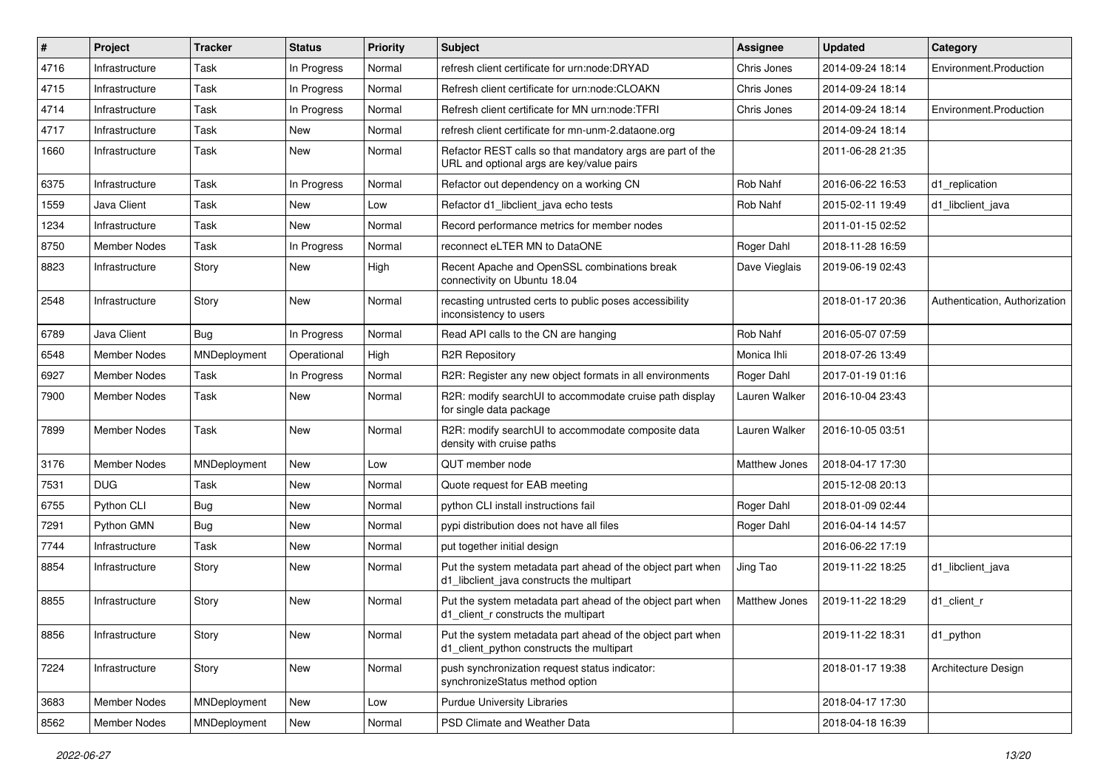| #    | Project             | <b>Tracker</b> | <b>Status</b> | <b>Priority</b> | <b>Subject</b>                                                                                           | Assignee             | <b>Updated</b>   | Category                      |
|------|---------------------|----------------|---------------|-----------------|----------------------------------------------------------------------------------------------------------|----------------------|------------------|-------------------------------|
| 4716 | Infrastructure      | Task           | In Progress   | Normal          | refresh client certificate for urn:node:DRYAD                                                            | Chris Jones          | 2014-09-24 18:14 | Environment.Production        |
| 4715 | Infrastructure      | Task           | In Progress   | Normal          | Refresh client certificate for urn:node:CLOAKN                                                           | Chris Jones          | 2014-09-24 18:14 |                               |
| 4714 | Infrastructure      | Task           | In Progress   | Normal          | Refresh client certificate for MN urn:node:TFRI                                                          | Chris Jones          | 2014-09-24 18:14 | Environment.Production        |
| 4717 | Infrastructure      | Task           | New           | Normal          | refresh client certificate for mn-unm-2.dataone.org                                                      |                      | 2014-09-24 18:14 |                               |
| 1660 | Infrastructure      | Task           | New           | Normal          | Refactor REST calls so that mandatory args are part of the<br>URL and optional args are key/value pairs  |                      | 2011-06-28 21:35 |                               |
| 6375 | Infrastructure      | Task           | In Progress   | Normal          | Refactor out dependency on a working CN                                                                  | Rob Nahf             | 2016-06-22 16:53 | d1 replication                |
| 1559 | Java Client         | Task           | New           | Low             | Refactor d1_libclient_java echo tests                                                                    | Rob Nahf             | 2015-02-11 19:49 | d1 libclient java             |
| 1234 | Infrastructure      | Task           | New           | Normal          | Record performance metrics for member nodes                                                              |                      | 2011-01-15 02:52 |                               |
| 8750 | <b>Member Nodes</b> | Task           | In Progress   | Normal          | reconnect eLTER MN to DataONE                                                                            | Roger Dahl           | 2018-11-28 16:59 |                               |
| 8823 | Infrastructure      | Story          | New           | High            | Recent Apache and OpenSSL combinations break<br>connectivity on Ubuntu 18.04                             | Dave Vieglais        | 2019-06-19 02:43 |                               |
| 2548 | Infrastructure      | Story          | New           | Normal          | recasting untrusted certs to public poses accessibility<br>inconsistency to users                        |                      | 2018-01-17 20:36 | Authentication, Authorization |
| 6789 | Java Client         | Bug            | In Progress   | Normal          | Read API calls to the CN are hanging                                                                     | Rob Nahf             | 2016-05-07 07:59 |                               |
| 6548 | Member Nodes        | MNDeployment   | Operational   | High            | <b>R2R Repository</b>                                                                                    | Monica Ihli          | 2018-07-26 13:49 |                               |
| 6927 | <b>Member Nodes</b> | Task           | In Progress   | Normal          | R2R: Register any new object formats in all environments                                                 | Roger Dahl           | 2017-01-19 01:16 |                               |
| 7900 | Member Nodes        | Task           | New           | Normal          | R2R: modify searchUI to accommodate cruise path display<br>for single data package                       | Lauren Walker        | 2016-10-04 23:43 |                               |
| 7899 | <b>Member Nodes</b> | Task           | New           | Normal          | R2R: modify searchUI to accommodate composite data<br>density with cruise paths                          | Lauren Walker        | 2016-10-05 03:51 |                               |
| 3176 | Member Nodes        | MNDeployment   | New           | Low             | QUT member node                                                                                          | <b>Matthew Jones</b> | 2018-04-17 17:30 |                               |
| 7531 | <b>DUG</b>          | Task           | <b>New</b>    | Normal          | Quote request for EAB meeting                                                                            |                      | 2015-12-08 20:13 |                               |
| 6755 | Python CLI          | <b>Bug</b>     | New           | Normal          | python CLI install instructions fail                                                                     | Roger Dahl           | 2018-01-09 02:44 |                               |
| 7291 | Python GMN          | <b>Bug</b>     | New           | Normal          | pypi distribution does not have all files                                                                | Roger Dahl           | 2016-04-14 14:57 |                               |
| 7744 | Infrastructure      | Task           | New           | Normal          | put together initial design                                                                              |                      | 2016-06-22 17:19 |                               |
| 8854 | Infrastructure      | Story          | New           | Normal          | Put the system metadata part ahead of the object part when<br>d1_libclient_java constructs the multipart | Jing Tao             | 2019-11-22 18:25 | d1 libclient java             |
| 8855 | Infrastructure      | Story          | New           | Normal          | Put the system metadata part ahead of the object part when<br>d1 client r constructs the multipart       | Matthew Jones        | 2019-11-22 18:29 | d1_client_r                   |
| 8856 | Infrastructure      | Story          | New           | Normal          | Put the system metadata part ahead of the object part when<br>d1 client python constructs the multipart  |                      | 2019-11-22 18:31 | d1_python                     |
| 7224 | Infrastructure      | Story          | New           | Normal          | push synchronization request status indicator:<br>synchronizeStatus method option                        |                      | 2018-01-17 19:38 | Architecture Design           |
| 3683 | Member Nodes        | MNDeployment   | New           | Low             | <b>Purdue University Libraries</b>                                                                       |                      | 2018-04-17 17:30 |                               |
| 8562 | Member Nodes        | MNDeployment   | New           | Normal          | PSD Climate and Weather Data                                                                             |                      | 2018-04-18 16:39 |                               |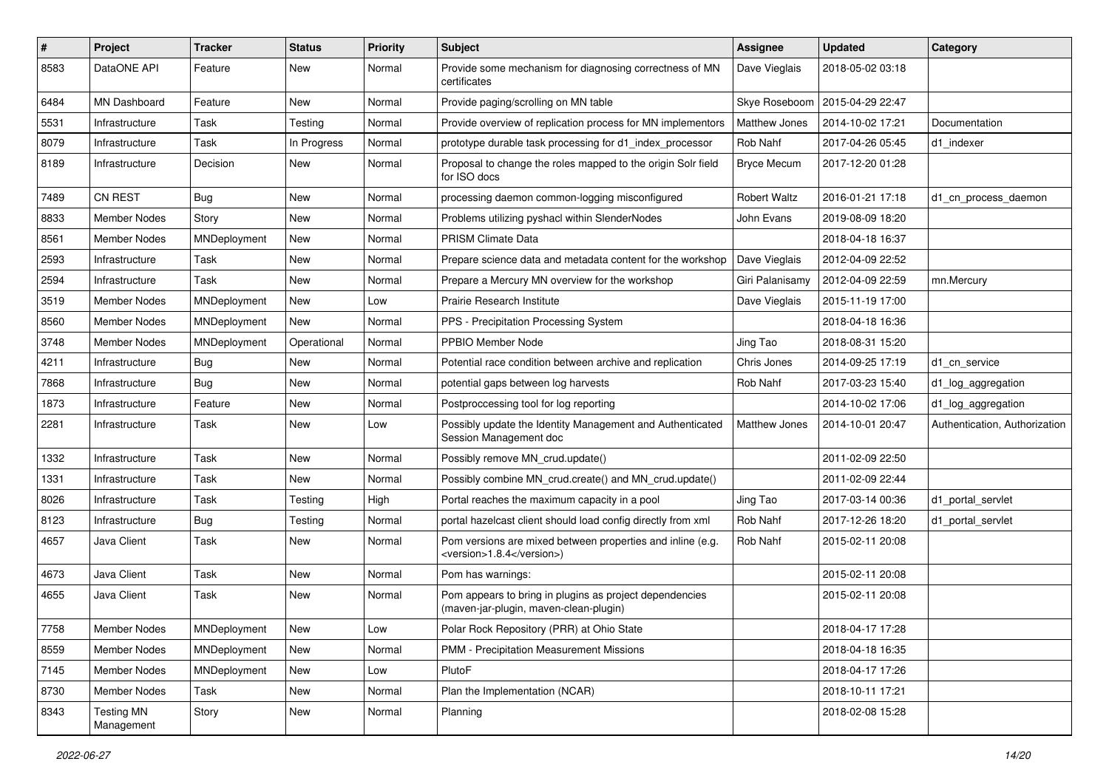| $\pmb{\#}$ | <b>Project</b>                  | <b>Tracker</b> | <b>Status</b> | <b>Priority</b> | <b>Subject</b>                                                                                    | <b>Assignee</b>     | <b>Updated</b>   | Category                      |
|------------|---------------------------------|----------------|---------------|-----------------|---------------------------------------------------------------------------------------------------|---------------------|------------------|-------------------------------|
| 8583       | DataONE API                     | Feature        | New           | Normal          | Provide some mechanism for diagnosing correctness of MN<br>certificates                           | Dave Vieglais       | 2018-05-02 03:18 |                               |
| 6484       | MN Dashboard                    | Feature        | New           | Normal          | Provide paging/scrolling on MN table                                                              | Skye Roseboom       | 2015-04-29 22:47 |                               |
| 5531       | Infrastructure                  | Task           | Testing       | Normal          | Provide overview of replication process for MN implementors                                       | Matthew Jones       | 2014-10-02 17:21 | Documentation                 |
| 8079       | Infrastructure                  | Task           | In Progress   | Normal          | prototype durable task processing for d1_index_processor                                          | Rob Nahf            | 2017-04-26 05:45 | d1 indexer                    |
| 8189       | Infrastructure                  | Decision       | New           | Normal          | Proposal to change the roles mapped to the origin Solr field<br>for ISO docs                      | <b>Bryce Mecum</b>  | 2017-12-20 01:28 |                               |
| 7489       | <b>CN REST</b>                  | Bug            | New           | Normal          | processing daemon common-logging misconfigured                                                    | <b>Robert Waltz</b> | 2016-01-21 17:18 | d1 cn process daemon          |
| 8833       | Member Nodes                    | Story          | New           | Normal          | Problems utilizing pyshacl within SlenderNodes                                                    | John Evans          | 2019-08-09 18:20 |                               |
| 8561       | <b>Member Nodes</b>             | MNDeployment   | New           | Normal          | PRISM Climate Data                                                                                |                     | 2018-04-18 16:37 |                               |
| 2593       | Infrastructure                  | Task           | New           | Normal          | Prepare science data and metadata content for the workshop                                        | Dave Vieglais       | 2012-04-09 22:52 |                               |
| 2594       | Infrastructure                  | Task           | New           | Normal          | Prepare a Mercury MN overview for the workshop                                                    | Giri Palanisamy     | 2012-04-09 22:59 | mn.Mercury                    |
| 3519       | Member Nodes                    | MNDeployment   | New           | Low             | Prairie Research Institute                                                                        | Dave Vieglais       | 2015-11-19 17:00 |                               |
| 8560       | Member Nodes                    | MNDeployment   | New           | Normal          | PPS - Precipitation Processing System                                                             |                     | 2018-04-18 16:36 |                               |
| 3748       | Member Nodes                    | MNDeployment   | Operational   | Normal          | PPBIO Member Node                                                                                 | Jing Tao            | 2018-08-31 15:20 |                               |
| 4211       | Infrastructure                  | Bug            | New           | Normal          | Potential race condition between archive and replication                                          | Chris Jones         | 2014-09-25 17:19 | d1 cn service                 |
| 7868       | Infrastructure                  | Bug            | New           | Normal          | potential gaps between log harvests                                                               | Rob Nahf            | 2017-03-23 15:40 | d1_log_aggregation            |
| 1873       | Infrastructure                  | Feature        | New           | Normal          | Postproccessing tool for log reporting                                                            |                     | 2014-10-02 17:06 | d1_log_aggregation            |
| 2281       | Infrastructure                  | Task           | New           | Low             | Possibly update the Identity Management and Authenticated<br>Session Management doc               | Matthew Jones       | 2014-10-01 20:47 | Authentication, Authorization |
| 1332       | Infrastructure                  | Task           | New           | Normal          | Possibly remove MN crud.update()                                                                  |                     | 2011-02-09 22:50 |                               |
| 1331       | Infrastructure                  | Task           | New           | Normal          | Possibly combine MN crud.create() and MN crud.update()                                            |                     | 2011-02-09 22:44 |                               |
| 8026       | Infrastructure                  | Task           | Testing       | High            | Portal reaches the maximum capacity in a pool                                                     | Jing Tao            | 2017-03-14 00:36 | d1 portal servlet             |
| 8123       | Infrastructure                  | Bug            | Testing       | Normal          | portal hazelcast client should load config directly from xml                                      | Rob Nahf            | 2017-12-26 18:20 | d1 portal servlet             |
| 4657       | Java Client                     | Task           | New           | Normal          | Pom versions are mixed between properties and inline (e.g.<br><version>1.8.4</version> )          | Rob Nahf            | 2015-02-11 20:08 |                               |
| 4673       | Java Client                     | Task           | New           | Normal          | Pom has warnings:                                                                                 |                     | 2015-02-11 20:08 |                               |
| 4655       | Java Client                     | Task           | New           | Normal          | Pom appears to bring in plugins as project dependencies<br>(maven-jar-plugin, maven-clean-plugin) |                     | 2015-02-11 20:08 |                               |
| 7758       | Member Nodes                    | MNDeployment   | New           | Low             | Polar Rock Repository (PRR) at Ohio State                                                         |                     | 2018-04-17 17:28 |                               |
| 8559       | Member Nodes                    | MNDeployment   | New           | Normal          | PMM - Precipitation Measurement Missions                                                          |                     | 2018-04-18 16:35 |                               |
| 7145       | Member Nodes                    | MNDeployment   | New           | Low             | PlutoF                                                                                            |                     | 2018-04-17 17:26 |                               |
| 8730       | Member Nodes                    | Task           | New           | Normal          | Plan the Implementation (NCAR)                                                                    |                     | 2018-10-11 17:21 |                               |
| 8343       | <b>Testing MN</b><br>Management | Story          | New           | Normal          | Planning                                                                                          |                     | 2018-02-08 15:28 |                               |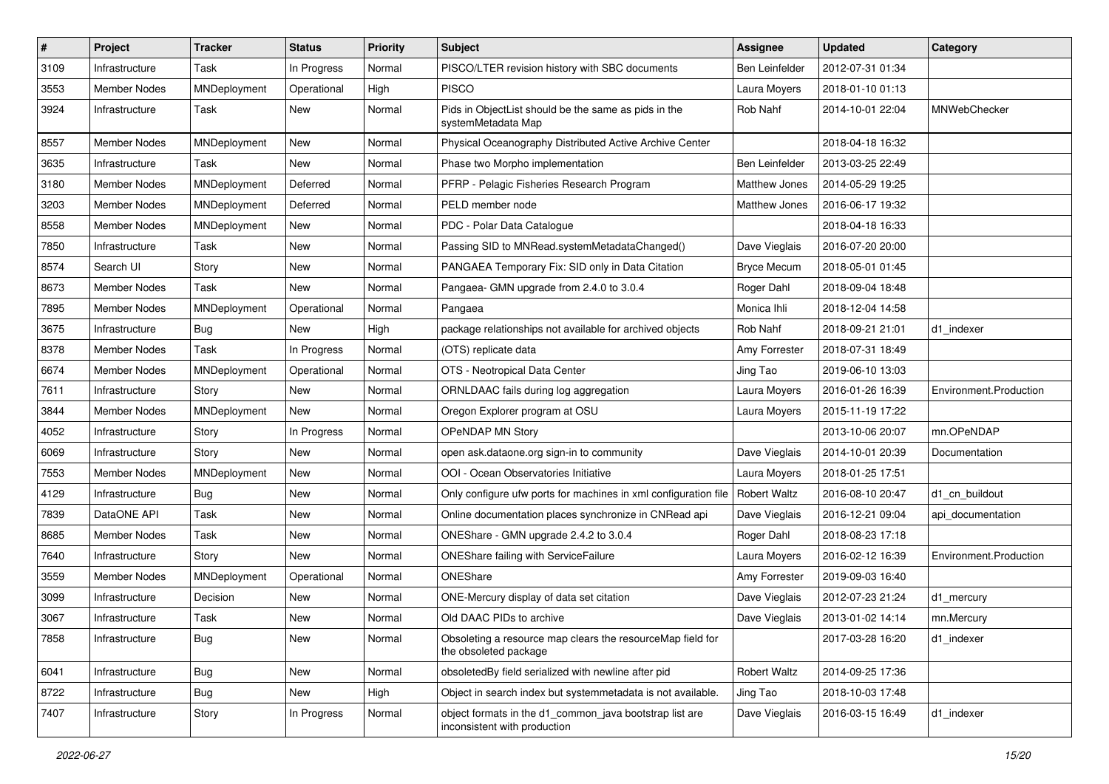| $\sharp$ | Project             | <b>Tracker</b> | <b>Status</b> | <b>Priority</b> | Subject                                                                                 | Assignee              | <b>Updated</b>   | Category               |
|----------|---------------------|----------------|---------------|-----------------|-----------------------------------------------------------------------------------------|-----------------------|------------------|------------------------|
| 3109     | Infrastructure      | Task           | In Progress   | Normal          | PISCO/LTER revision history with SBC documents                                          | <b>Ben Leinfelder</b> | 2012-07-31 01:34 |                        |
| 3553     | <b>Member Nodes</b> | MNDeployment   | Operational   | High            | <b>PISCO</b>                                                                            | Laura Moyers          | 2018-01-10 01:13 |                        |
| 3924     | Infrastructure      | Task           | New           | Normal          | Pids in ObjectList should be the same as pids in the<br>systemMetadata Map              | Rob Nahf              | 2014-10-01 22:04 | MNWebChecker           |
| 8557     | <b>Member Nodes</b> | MNDeployment   | New           | Normal          | Physical Oceanography Distributed Active Archive Center                                 |                       | 2018-04-18 16:32 |                        |
| 3635     | Infrastructure      | Task           | New           | Normal          | Phase two Morpho implementation                                                         | Ben Leinfelder        | 2013-03-25 22:49 |                        |
| 3180     | <b>Member Nodes</b> | MNDeployment   | Deferred      | Normal          | PFRP - Pelagic Fisheries Research Program                                               | Matthew Jones         | 2014-05-29 19:25 |                        |
| 3203     | Member Nodes        | MNDeployment   | Deferred      | Normal          | PELD member node                                                                        | Matthew Jones         | 2016-06-17 19:32 |                        |
| 8558     | <b>Member Nodes</b> | MNDeployment   | New           | Normal          | PDC - Polar Data Catalogue                                                              |                       | 2018-04-18 16:33 |                        |
| 7850     | Infrastructure      | Task           | New           | Normal          | Passing SID to MNRead.systemMetadataChanged()                                           | Dave Vieglais         | 2016-07-20 20:00 |                        |
| 8574     | Search UI           | Story          | New           | Normal          | PANGAEA Temporary Fix: SID only in Data Citation                                        | <b>Bryce Mecum</b>    | 2018-05-01 01:45 |                        |
| 8673     | <b>Member Nodes</b> | Task           | New           | Normal          | Pangaea- GMN upgrade from 2.4.0 to 3.0.4                                                | Roger Dahl            | 2018-09-04 18:48 |                        |
| 7895     | <b>Member Nodes</b> | MNDeployment   | Operational   | Normal          | Pangaea                                                                                 | Monica Ihli           | 2018-12-04 14:58 |                        |
| 3675     | Infrastructure      | Bug            | New           | High            | package relationships not available for archived objects                                | Rob Nahf              | 2018-09-21 21:01 | d1 indexer             |
| 8378     | <b>Member Nodes</b> | Task           | In Progress   | Normal          | (OTS) replicate data                                                                    | Amy Forrester         | 2018-07-31 18:49 |                        |
| 6674     | <b>Member Nodes</b> | MNDeployment   | Operational   | Normal          | OTS - Neotropical Data Center                                                           | Jing Tao              | 2019-06-10 13:03 |                        |
| 7611     | Infrastructure      | Story          | New           | Normal          | ORNLDAAC fails during log aggregation                                                   | Laura Moyers          | 2016-01-26 16:39 | Environment.Production |
| 3844     | <b>Member Nodes</b> | MNDeployment   | New           | Normal          | Oregon Explorer program at OSU                                                          | Laura Moyers          | 2015-11-19 17:22 |                        |
| 4052     | Infrastructure      | Story          | In Progress   | Normal          | OPeNDAP MN Story                                                                        |                       | 2013-10-06 20:07 | mn.OPeNDAP             |
| 6069     | Infrastructure      | Story          | New           | Normal          | open ask.dataone.org sign-in to community                                               | Dave Vieglais         | 2014-10-01 20:39 | Documentation          |
| 7553     | <b>Member Nodes</b> | MNDeployment   | New           | Normal          | OOI - Ocean Observatories Initiative                                                    | Laura Moyers          | 2018-01-25 17:51 |                        |
| 4129     | Infrastructure      | Bug            | New           | Normal          | Only configure ufw ports for machines in xml configuration file                         | <b>Robert Waltz</b>   | 2016-08-10 20:47 | d1_cn_buildout         |
| 7839     | DataONE API         | Task           | New           | Normal          | Online documentation places synchronize in CNRead api                                   | Dave Vieglais         | 2016-12-21 09:04 | api_documentation      |
| 8685     | <b>Member Nodes</b> | Task           | New           | Normal          | ONEShare - GMN upgrade 2.4.2 to 3.0.4                                                   | Roger Dahl            | 2018-08-23 17:18 |                        |
| 7640     | Infrastructure      | Story          | New           | Normal          | ONEShare failing with ServiceFailure                                                    | Laura Moyers          | 2016-02-12 16:39 | Environment.Production |
| 3559     | <b>Member Nodes</b> | MNDeployment   | Operational   | Normal          | ONEShare                                                                                | Amy Forrester         | 2019-09-03 16:40 |                        |
| 3099     | Infrastructure      | Decision       | New           | Normal          | ONE-Mercury display of data set citation                                                | Dave Vieglais         | 2012-07-23 21:24 | d1_mercury             |
| 3067     | Infrastructure      | Task           | New           | Normal          | Old DAAC PIDs to archive                                                                | Dave Vieglais         | 2013-01-02 14:14 | mn.Mercury             |
| 7858     | Infrastructure      | Bug            | New           | Normal          | Obsoleting a resource map clears the resourceMap field for<br>the obsoleted package     |                       | 2017-03-28 16:20 | d1_indexer             |
| 6041     | Infrastructure      | <b>Bug</b>     | New           | Normal          | obsoletedBy field serialized with newline after pid                                     | <b>Robert Waltz</b>   | 2014-09-25 17:36 |                        |
| 8722     | Infrastructure      | Bug            | New           | High            | Object in search index but systemmetadata is not available.                             | Jing Tao              | 2018-10-03 17:48 |                        |
| 7407     | Infrastructure      | Story          | In Progress   | Normal          | object formats in the d1_common_java bootstrap list are<br>inconsistent with production | Dave Vieglais         | 2016-03-15 16:49 | d1_indexer             |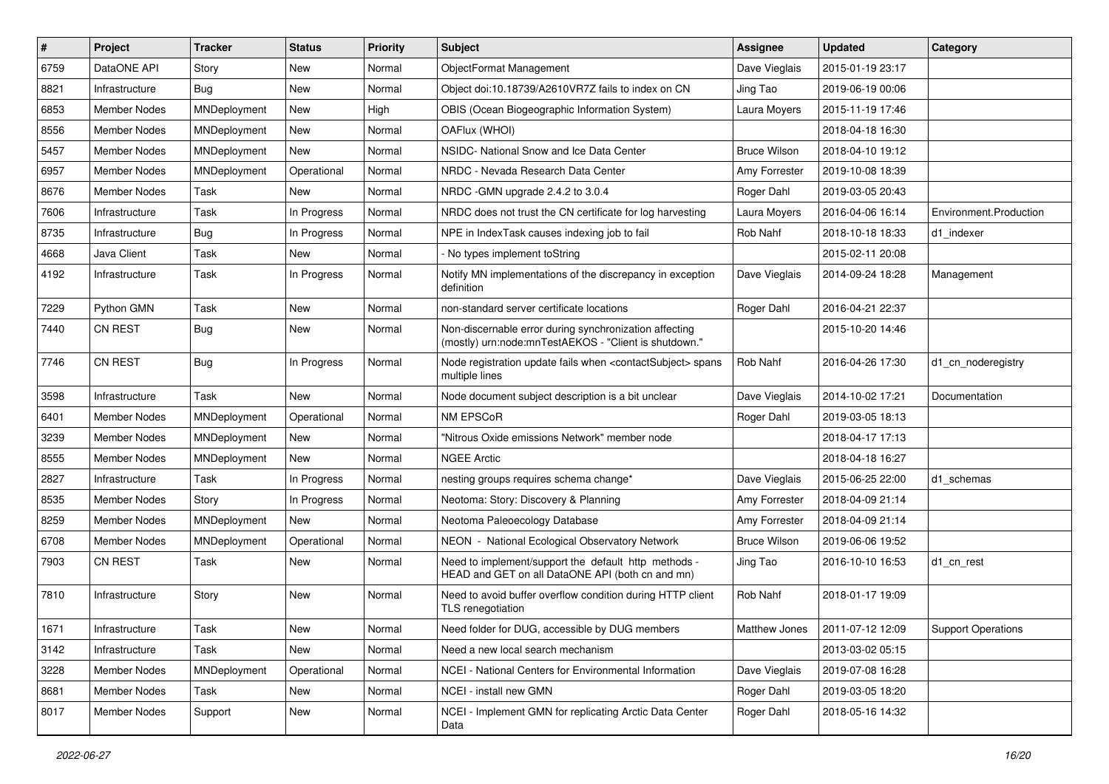| #    | Project             | <b>Tracker</b> | <b>Status</b> | <b>Priority</b> | <b>Subject</b>                                                                                                  | <b>Assignee</b>     | <b>Updated</b>   | Category                  |
|------|---------------------|----------------|---------------|-----------------|-----------------------------------------------------------------------------------------------------------------|---------------------|------------------|---------------------------|
| 6759 | DataONE API         | Story          | New           | Normal          | ObjectFormat Management                                                                                         | Dave Vieglais       | 2015-01-19 23:17 |                           |
| 8821 | Infrastructure      | Bug            | <b>New</b>    | Normal          | Object doi:10.18739/A2610VR7Z fails to index on CN                                                              | Jing Tao            | 2019-06-19 00:06 |                           |
| 6853 | Member Nodes        | MNDeployment   | New           | High            | OBIS (Ocean Biogeographic Information System)                                                                   | Laura Moyers        | 2015-11-19 17:46 |                           |
| 8556 | Member Nodes        | MNDeployment   | <b>New</b>    | Normal          | OAFlux (WHOI)                                                                                                   |                     | 2018-04-18 16:30 |                           |
| 5457 | <b>Member Nodes</b> | MNDeployment   | <b>New</b>    | Normal          | NSIDC- National Snow and Ice Data Center                                                                        | <b>Bruce Wilson</b> | 2018-04-10 19:12 |                           |
| 6957 | <b>Member Nodes</b> | MNDeployment   | Operational   | Normal          | NRDC - Nevada Research Data Center                                                                              | Amy Forrester       | 2019-10-08 18:39 |                           |
| 8676 | Member Nodes        | Task           | <b>New</b>    | Normal          | NRDC - GMN upgrade 2.4.2 to 3.0.4                                                                               | Roger Dahl          | 2019-03-05 20:43 |                           |
| 7606 | Infrastructure      | Task           | In Progress   | Normal          | NRDC does not trust the CN certificate for log harvesting                                                       | Laura Moyers        | 2016-04-06 16:14 | Environment.Production    |
| 8735 | Infrastructure      | <b>Bug</b>     | In Progress   | Normal          | NPE in IndexTask causes indexing job to fail                                                                    | Rob Nahf            | 2018-10-18 18:33 | d1 indexer                |
| 4668 | Java Client         | Task           | <b>New</b>    | Normal          | - No types implement toString                                                                                   |                     | 2015-02-11 20:08 |                           |
| 4192 | Infrastructure      | Task           | In Progress   | Normal          | Notify MN implementations of the discrepancy in exception<br>definition                                         | Dave Vieglais       | 2014-09-24 18:28 | Management                |
| 7229 | Python GMN          | Task           | <b>New</b>    | Normal          | non-standard server certificate locations                                                                       | Roger Dahl          | 2016-04-21 22:37 |                           |
| 7440 | <b>CN REST</b>      | Bug            | <b>New</b>    | Normal          | Non-discernable error during synchronization affecting<br>(mostly) urn:node:mnTestAEKOS - "Client is shutdown." |                     | 2015-10-20 14:46 |                           |
| 7746 | CN REST             | Bug            | In Progress   | Normal          | Node registration update fails when <contactsubject> spans<br/>multiple lines</contactsubject>                  | Rob Nahf            | 2016-04-26 17:30 | d1_cn_noderegistry        |
| 3598 | Infrastructure      | Task           | <b>New</b>    | Normal          | Node document subject description is a bit unclear                                                              | Dave Vieglais       | 2014-10-02 17:21 | Documentation             |
| 6401 | Member Nodes        | MNDeployment   | Operational   | Normal          | NM EPSCoR                                                                                                       | Roger Dahl          | 2019-03-05 18:13 |                           |
| 3239 | Member Nodes        | MNDeployment   | <b>New</b>    | Normal          | "Nitrous Oxide emissions Network" member node                                                                   |                     | 2018-04-17 17:13 |                           |
| 8555 | <b>Member Nodes</b> | MNDeployment   | New           | Normal          | <b>NGEE Arctic</b>                                                                                              |                     | 2018-04-18 16:27 |                           |
| 2827 | Infrastructure      | Task           | In Progress   | Normal          | nesting groups requires schema change*                                                                          | Dave Vieglais       | 2015-06-25 22:00 | d1 schemas                |
| 8535 | <b>Member Nodes</b> | Story          | In Progress   | Normal          | Neotoma: Story: Discovery & Planning                                                                            | Amy Forrester       | 2018-04-09 21:14 |                           |
| 8259 | <b>Member Nodes</b> | MNDeployment   | New           | Normal          | Neotoma Paleoecology Database                                                                                   | Amy Forrester       | 2018-04-09 21:14 |                           |
| 6708 | Member Nodes        | MNDeployment   | Operational   | Normal          | NEON - National Ecological Observatory Network                                                                  | <b>Bruce Wilson</b> | 2019-06-06 19:52 |                           |
| 7903 | <b>CN REST</b>      | Task           | New           | Normal          | Need to implement/support the default http methods -<br>HEAD and GET on all DataONE API (both cn and mn)        | Jing Tao            | 2016-10-10 16:53 | d1_cn_rest                |
| 7810 | Infrastructure      | Story          | <b>New</b>    | Normal          | Need to avoid buffer overflow condition during HTTP client<br>TLS renegotiation                                 | Rob Nahf            | 2018-01-17 19:09 |                           |
| 1671 | Infrastructure      | Task           | New           | Normal          | Need folder for DUG, accessible by DUG members                                                                  | Matthew Jones       | 2011-07-12 12:09 | <b>Support Operations</b> |
| 3142 | Infrastructure      | Task           | New           | Normal          | Need a new local search mechanism                                                                               |                     | 2013-03-02 05:15 |                           |
| 3228 | Member Nodes        | MNDeployment   | Operational   | Normal          | NCEI - National Centers for Environmental Information                                                           | Dave Vieglais       | 2019-07-08 16:28 |                           |
| 8681 | Member Nodes        | Task           | New           | Normal          | NCEI - install new GMN                                                                                          | Roger Dahl          | 2019-03-05 18:20 |                           |
| 8017 | Member Nodes        | Support        | New           | Normal          | NCEI - Implement GMN for replicating Arctic Data Center<br>Data                                                 | Roger Dahl          | 2018-05-16 14:32 |                           |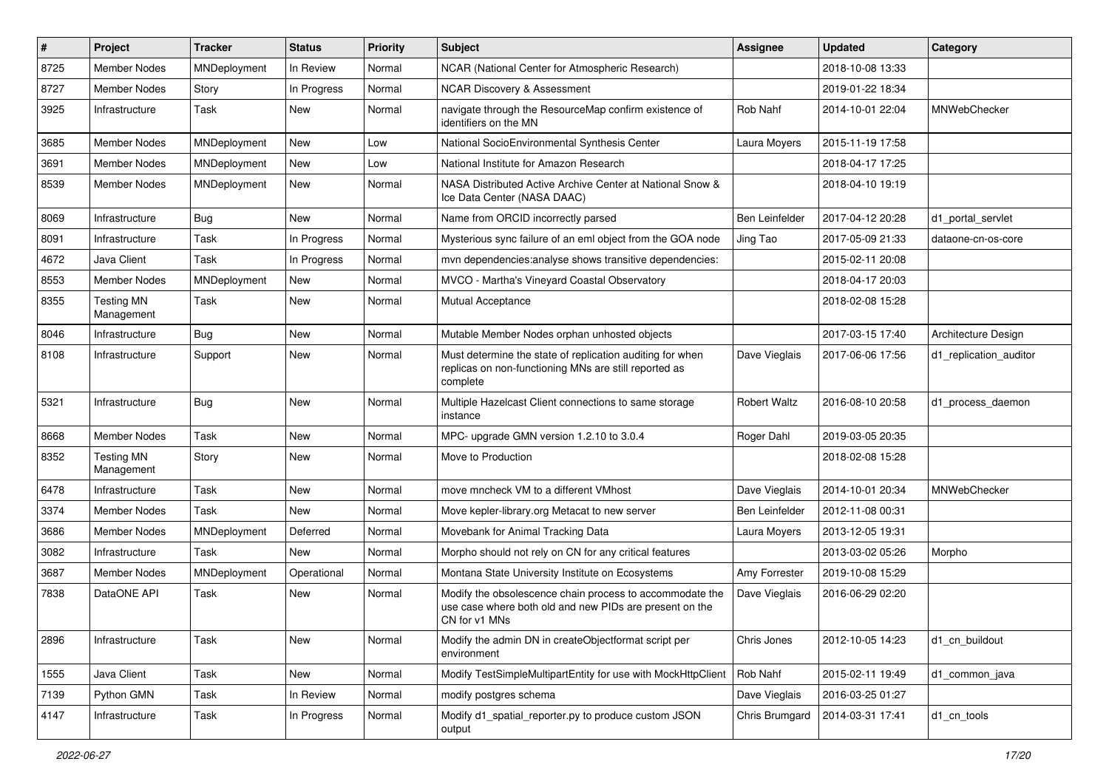| $\pmb{\#}$ | Project                         | <b>Tracker</b> | <b>Status</b> | <b>Priority</b> | <b>Subject</b>                                                                                                                       | <b>Assignee</b>       | <b>Updated</b>   | Category               |
|------------|---------------------------------|----------------|---------------|-----------------|--------------------------------------------------------------------------------------------------------------------------------------|-----------------------|------------------|------------------------|
| 8725       | <b>Member Nodes</b>             | MNDeployment   | In Review     | Normal          | NCAR (National Center for Atmospheric Research)                                                                                      |                       | 2018-10-08 13:33 |                        |
| 8727       | <b>Member Nodes</b>             | Story          | In Progress   | Normal          | <b>NCAR Discovery &amp; Assessment</b>                                                                                               |                       | 2019-01-22 18:34 |                        |
| 3925       | Infrastructure                  | Task           | New           | Normal          | navigate through the ResourceMap confirm existence of<br>identifiers on the MN                                                       | Rob Nahf              | 2014-10-01 22:04 | MNWebChecker           |
| 3685       | <b>Member Nodes</b>             | MNDeployment   | New           | Low             | National SocioEnvironmental Synthesis Center                                                                                         | Laura Moyers          | 2015-11-19 17:58 |                        |
| 3691       | Member Nodes                    | MNDeployment   | New           | Low             | National Institute for Amazon Research                                                                                               |                       | 2018-04-17 17:25 |                        |
| 8539       | <b>Member Nodes</b>             | MNDeployment   | New           | Normal          | NASA Distributed Active Archive Center at National Snow &<br>Ice Data Center (NASA DAAC)                                             |                       | 2018-04-10 19:19 |                        |
| 8069       | Infrastructure                  | Bug            | New           | Normal          | Name from ORCID incorrectly parsed                                                                                                   | <b>Ben Leinfelder</b> | 2017-04-12 20:28 | d1 portal servlet      |
| 8091       | Infrastructure                  | Task           | In Progress   | Normal          | Mysterious sync failure of an eml object from the GOA node                                                                           | Jing Tao              | 2017-05-09 21:33 | dataone-cn-os-core     |
| 4672       | Java Client                     | Task           | In Progress   | Normal          | mvn dependencies: analyse shows transitive dependencies:                                                                             |                       | 2015-02-11 20:08 |                        |
| 8553       | Member Nodes                    | MNDeployment   | New           | Normal          | MVCO - Martha's Vineyard Coastal Observatory                                                                                         |                       | 2018-04-17 20:03 |                        |
| 8355       | <b>Testing MN</b><br>Management | Task           | New           | Normal          | Mutual Acceptance                                                                                                                    |                       | 2018-02-08 15:28 |                        |
| 8046       | Infrastructure                  | Bug            | New           | Normal          | Mutable Member Nodes orphan unhosted objects                                                                                         |                       | 2017-03-15 17:40 | Architecture Design    |
| 8108       | Infrastructure                  | Support        | New           | Normal          | Must determine the state of replication auditing for when<br>replicas on non-functioning MNs are still reported as<br>complete       | Dave Vieglais         | 2017-06-06 17:56 | d1_replication_auditor |
| 5321       | Infrastructure                  | Bug            | New           | Normal          | Multiple Hazelcast Client connections to same storage<br>instance                                                                    | <b>Robert Waltz</b>   | 2016-08-10 20:58 | d1_process_daemon      |
| 8668       | <b>Member Nodes</b>             | Task           | New           | Normal          | MPC- upgrade GMN version 1.2.10 to 3.0.4                                                                                             | Roger Dahl            | 2019-03-05 20:35 |                        |
| 8352       | <b>Testing MN</b><br>Management | Story          | New           | Normal          | Move to Production                                                                                                                   |                       | 2018-02-08 15:28 |                        |
| 6478       | Infrastructure                  | Task           | New           | Normal          | move mncheck VM to a different VMhost                                                                                                | Dave Vieglais         | 2014-10-01 20:34 | MNWebChecker           |
| 3374       | <b>Member Nodes</b>             | Task           | New           | Normal          | Move kepler-library.org Metacat to new server                                                                                        | Ben Leinfelder        | 2012-11-08 00:31 |                        |
| 3686       | Member Nodes                    | MNDeployment   | Deferred      | Normal          | Movebank for Animal Tracking Data                                                                                                    | Laura Moyers          | 2013-12-05 19:31 |                        |
| 3082       | Infrastructure                  | Task           | New           | Normal          | Morpho should not rely on CN for any critical features                                                                               |                       | 2013-03-02 05:26 | Morpho                 |
| 3687       | Member Nodes                    | MNDeployment   | Operational   | Normal          | Montana State University Institute on Ecosystems                                                                                     | Amy Forrester         | 2019-10-08 15:29 |                        |
| 7838       | DataONE API                     | Task           | New           | Normal          | Modify the obsolescence chain process to accommodate the<br>use case where both old and new PIDs are present on the<br>CN for v1 MNs | Dave Vieglais         | 2016-06-29 02:20 |                        |
| 2896       | Infrastructure                  | Task           | New           | Normal          | Modify the admin DN in createObjectformat script per<br>environment                                                                  | Chris Jones           | 2012-10-05 14:23 | d1_cn_buildout         |
| 1555       | Java Client                     | Task           | New           | Normal          | Modify TestSimpleMultipartEntity for use with MockHttpClient                                                                         | Rob Nahf              | 2015-02-11 19:49 | d1_common_java         |
| 7139       | Python GMN                      | Task           | In Review     | Normal          | modify postgres schema                                                                                                               | Dave Vieglais         | 2016-03-25 01:27 |                        |
| 4147       | Infrastructure                  | Task           | In Progress   | Normal          | Modify d1_spatial_reporter.py to produce custom JSON<br>output                                                                       | Chris Brumgard        | 2014-03-31 17:41 | d1_cn_tools            |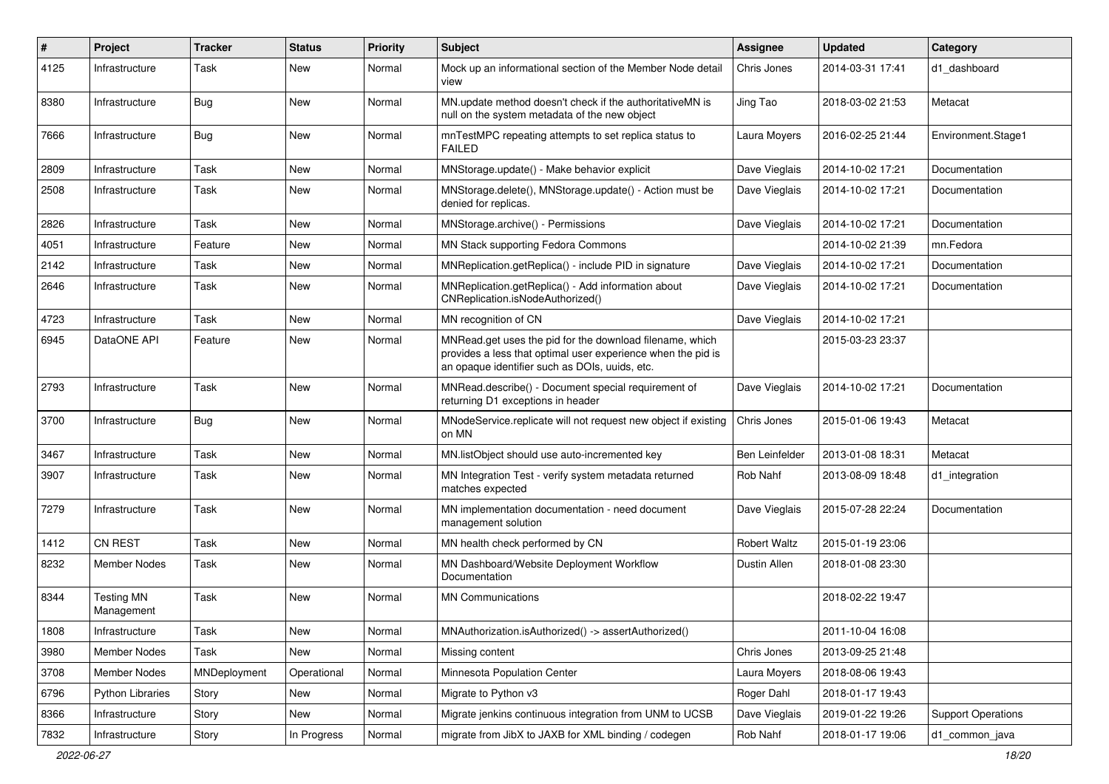| #    | Project                         | <b>Tracker</b> | <b>Status</b> | <b>Priority</b> | <b>Subject</b>                                                                                                                                                             | Assignee            | <b>Updated</b>   | Category                  |
|------|---------------------------------|----------------|---------------|-----------------|----------------------------------------------------------------------------------------------------------------------------------------------------------------------------|---------------------|------------------|---------------------------|
| 4125 | Infrastructure                  | Task           | <b>New</b>    | Normal          | Mock up an informational section of the Member Node detail<br>view                                                                                                         | Chris Jones         | 2014-03-31 17:41 | d1 dashboard              |
| 8380 | Infrastructure                  | Bug            | New           | Normal          | MN.update method doesn't check if the authoritativeMN is<br>null on the system metadata of the new object                                                                  | Jing Tao            | 2018-03-02 21:53 | Metacat                   |
| 7666 | Infrastructure                  | Bug            | <b>New</b>    | Normal          | mnTestMPC repeating attempts to set replica status to<br>FAILED                                                                                                            | Laura Moyers        | 2016-02-25 21:44 | Environment.Stage1        |
| 2809 | Infrastructure                  | Task           | <b>New</b>    | Normal          | MNStorage.update() - Make behavior explicit                                                                                                                                | Dave Vieglais       | 2014-10-02 17:21 | Documentation             |
| 2508 | Infrastructure                  | Task           | New           | Normal          | MNStorage.delete(), MNStorage.update() - Action must be<br>denied for replicas.                                                                                            | Dave Vieglais       | 2014-10-02 17:21 | Documentation             |
| 2826 | Infrastructure                  | Task           | <b>New</b>    | Normal          | MNStorage.archive() - Permissions                                                                                                                                          | Dave Vieglais       | 2014-10-02 17:21 | Documentation             |
| 4051 | Infrastructure                  | Feature        | New           | Normal          | MN Stack supporting Fedora Commons                                                                                                                                         |                     | 2014-10-02 21:39 | mn.Fedora                 |
| 2142 | Infrastructure                  | Task           | New           | Normal          | MNReplication.getReplica() - include PID in signature                                                                                                                      | Dave Vieglais       | 2014-10-02 17:21 | Documentation             |
| 2646 | Infrastructure                  | Task           | New           | Normal          | MNReplication.getReplica() - Add information about<br>CNReplication.isNodeAuthorized()                                                                                     | Dave Vieglais       | 2014-10-02 17:21 | Documentation             |
| 4723 | Infrastructure                  | Task           | New           | Normal          | MN recognition of CN                                                                                                                                                       | Dave Vieglais       | 2014-10-02 17:21 |                           |
| 6945 | DataONE API                     | Feature        | New           | Normal          | MNRead.get uses the pid for the download filename, which<br>provides a less that optimal user experience when the pid is<br>an opaque identifier such as DOIs, uuids, etc. |                     | 2015-03-23 23:37 |                           |
| 2793 | Infrastructure                  | Task           | <b>New</b>    | Normal          | MNRead.describe() - Document special requirement of<br>returning D1 exceptions in header                                                                                   | Dave Vieglais       | 2014-10-02 17:21 | Documentation             |
| 3700 | Infrastructure                  | Bug            | <b>New</b>    | Normal          | MNodeService.replicate will not request new object if existing<br>on MN                                                                                                    | Chris Jones         | 2015-01-06 19:43 | Metacat                   |
| 3467 | Infrastructure                  | Task           | New           | Normal          | MN.listObject should use auto-incremented key                                                                                                                              | Ben Leinfelder      | 2013-01-08 18:31 | Metacat                   |
| 3907 | Infrastructure                  | Task           | New           | Normal          | MN Integration Test - verify system metadata returned<br>matches expected                                                                                                  | Rob Nahf            | 2013-08-09 18:48 | d1_integration            |
| 7279 | Infrastructure                  | Task           | New           | Normal          | MN implementation documentation - need document<br>management solution                                                                                                     | Dave Vieglais       | 2015-07-28 22:24 | Documentation             |
| 1412 | CN REST                         | Task           | <b>New</b>    | Normal          | MN health check performed by CN                                                                                                                                            | <b>Robert Waltz</b> | 2015-01-19 23:06 |                           |
| 8232 | Member Nodes                    | Task           | New           | Normal          | MN Dashboard/Website Deployment Workflow<br>Documentation                                                                                                                  | Dustin Allen        | 2018-01-08 23:30 |                           |
| 8344 | <b>Testing MN</b><br>Management | Task           | New           | Normal          | <b>MN Communications</b>                                                                                                                                                   |                     | 2018-02-22 19:47 |                           |
| 1808 | Infrastructure                  | Task           | New           | Normal          | MNAuthorization.isAuthorized() -> assertAuthorized()                                                                                                                       |                     | 2011-10-04 16:08 |                           |
| 3980 | Member Nodes                    | Task           | New           | Normal          | Missing content                                                                                                                                                            | Chris Jones         | 2013-09-25 21:48 |                           |
| 3708 | Member Nodes                    | MNDeployment   | Operational   | Normal          | Minnesota Population Center                                                                                                                                                | Laura Moyers        | 2018-08-06 19:43 |                           |
| 6796 | <b>Python Libraries</b>         | Story          | New           | Normal          | Migrate to Python v3                                                                                                                                                       | Roger Dahl          | 2018-01-17 19:43 |                           |
| 8366 | Infrastructure                  | Story          | New           | Normal          | Migrate jenkins continuous integration from UNM to UCSB                                                                                                                    | Dave Vieglais       | 2019-01-22 19:26 | <b>Support Operations</b> |
| 7832 | Infrastructure                  | Story          | In Progress   | Normal          | migrate from JibX to JAXB for XML binding / codegen                                                                                                                        | Rob Nahf            | 2018-01-17 19:06 | d1_common_java            |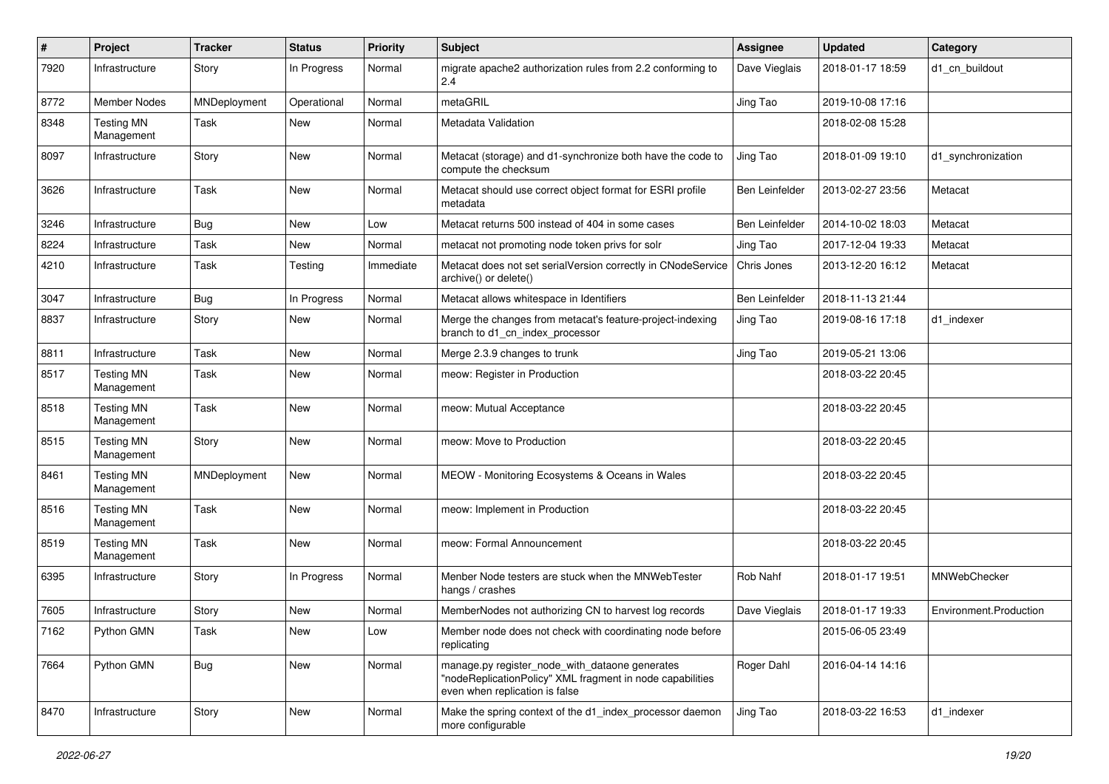| #    | Project                         | <b>Tracker</b> | <b>Status</b> | <b>Priority</b> | Subject                                                                                                                                       | <b>Assignee</b> | <b>Updated</b>   | Category               |
|------|---------------------------------|----------------|---------------|-----------------|-----------------------------------------------------------------------------------------------------------------------------------------------|-----------------|------------------|------------------------|
| 7920 | Infrastructure                  | Story          | In Progress   | Normal          | migrate apache2 authorization rules from 2.2 conforming to<br>2.4                                                                             | Dave Vieglais   | 2018-01-17 18:59 | d1_cn_buildout         |
| 8772 | Member Nodes                    | MNDeployment   | Operational   | Normal          | metaGRIL                                                                                                                                      | Jing Tao        | 2019-10-08 17:16 |                        |
| 8348 | <b>Testing MN</b><br>Management | Task           | New           | Normal          | Metadata Validation                                                                                                                           |                 | 2018-02-08 15:28 |                        |
| 8097 | Infrastructure                  | Story          | <b>New</b>    | Normal          | Metacat (storage) and d1-synchronize both have the code to<br>compute the checksum                                                            | Jing Tao        | 2018-01-09 19:10 | d1_synchronization     |
| 3626 | Infrastructure                  | Task           | <b>New</b>    | Normal          | Metacat should use correct object format for ESRI profile<br>metadata                                                                         | Ben Leinfelder  | 2013-02-27 23:56 | Metacat                |
| 3246 | Infrastructure                  | Bug            | <b>New</b>    | Low             | Metacat returns 500 instead of 404 in some cases                                                                                              | Ben Leinfelder  | 2014-10-02 18:03 | Metacat                |
| 8224 | Infrastructure                  | Task           | New           | Normal          | metacat not promoting node token privs for solr                                                                                               | Jing Tao        | 2017-12-04 19:33 | Metacat                |
| 4210 | Infrastructure                  | Task           | Testing       | Immediate       | Metacat does not set serialVersion correctly in CNodeService<br>archive() or delete()                                                         | Chris Jones     | 2013-12-20 16:12 | Metacat                |
| 3047 | Infrastructure                  | Bug            | In Progress   | Normal          | Metacat allows whitespace in Identifiers                                                                                                      | Ben Leinfelder  | 2018-11-13 21:44 |                        |
| 8837 | Infrastructure                  | Story          | New           | Normal          | Merge the changes from metacat's feature-project-indexing<br>branch to d1_cn_index_processor                                                  | Jing Tao        | 2019-08-16 17:18 | d1 indexer             |
| 8811 | Infrastructure                  | Task           | <b>New</b>    | Normal          | Merge 2.3.9 changes to trunk                                                                                                                  | Jing Tao        | 2019-05-21 13:06 |                        |
| 8517 | <b>Testing MN</b><br>Management | Task           | <b>New</b>    | Normal          | meow: Register in Production                                                                                                                  |                 | 2018-03-22 20:45 |                        |
| 8518 | <b>Testing MN</b><br>Management | Task           | <b>New</b>    | Normal          | meow: Mutual Acceptance                                                                                                                       |                 | 2018-03-22 20:45 |                        |
| 8515 | <b>Testing MN</b><br>Management | Story          | <b>New</b>    | Normal          | meow: Move to Production                                                                                                                      |                 | 2018-03-22 20:45 |                        |
| 8461 | <b>Testing MN</b><br>Management | MNDeployment   | <b>New</b>    | Normal          | MEOW - Monitoring Ecosystems & Oceans in Wales                                                                                                |                 | 2018-03-22 20:45 |                        |
| 8516 | <b>Testing MN</b><br>Management | Task           | <b>New</b>    | Normal          | meow: Implement in Production                                                                                                                 |                 | 2018-03-22 20:45 |                        |
| 8519 | <b>Testing MN</b><br>Management | Task           | New           | Normal          | meow: Formal Announcement                                                                                                                     |                 | 2018-03-22 20:45 |                        |
| 6395 | Infrastructure                  | Story          | In Progress   | Normal          | Menber Node testers are stuck when the MNWebTester<br>hangs / crashes                                                                         | Rob Nahf        | 2018-01-17 19:51 | MNWebChecker           |
| 7605 | Infrastructure                  | Story          | <b>New</b>    | Normal          | MemberNodes not authorizing CN to harvest log records                                                                                         | Dave Vieglais   | 2018-01-17 19:33 | Environment.Production |
| 7162 | Python GMN                      | Task           | New           | Low             | Member node does not check with coordinating node before<br>replicating                                                                       |                 | 2015-06-05 23:49 |                        |
| 7664 | Python GMN                      | <b>Bug</b>     | New           | Normal          | manage.py register_node_with_dataone generates<br>"nodeReplicationPolicy" XML fragment in node capabilities<br>even when replication is false | Roger Dahl      | 2016-04-14 14:16 |                        |
| 8470 | Infrastructure                  | Story          | New           | Normal          | Make the spring context of the d1_index_processor daemon<br>more configurable                                                                 | Jing Tao        | 2018-03-22 16:53 | d1_indexer             |